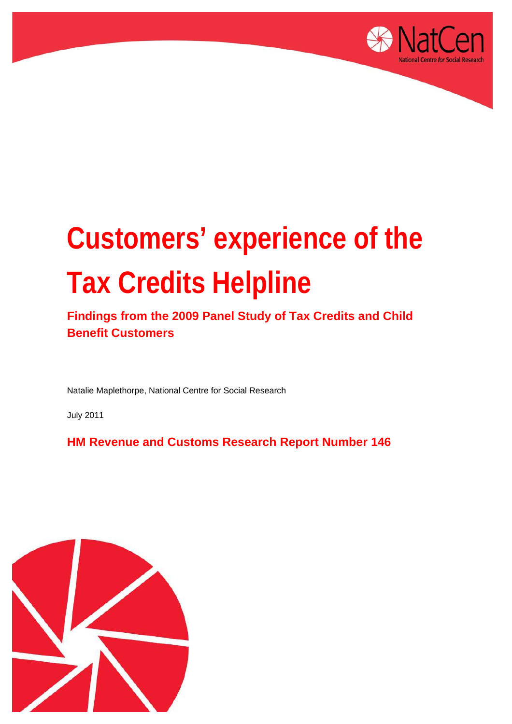

# **Customers' experience of the Tax Credits Helpline**

**Findings from the 2009 Panel Study of Tax Credits and Child Benefit Customers** 

Natalie Maplethorpe, National Centre for Social Research

July 2011

**HM Revenue and Customs Research Report Number 146** 

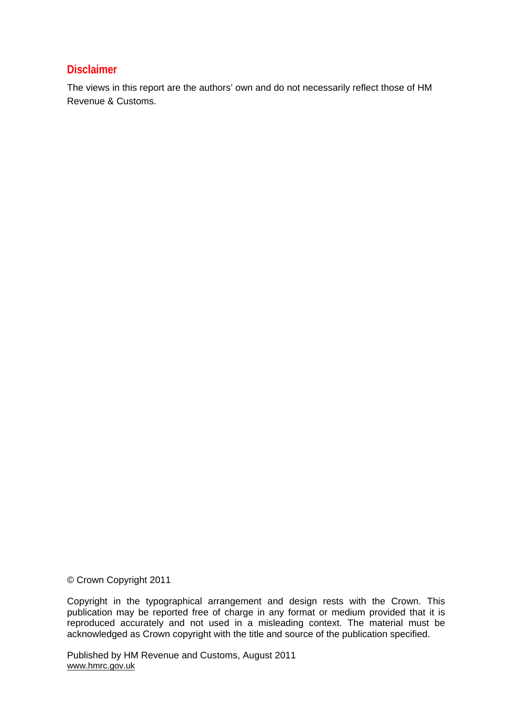### **Disclaimer**

The views in this report are the authors' own and do not necessarily reflect those of HM Revenue & Customs.

© Crown Copyright 2011

Copyright in the typographical arrangement and design rests with the Crown. This publication may be reported free of charge in any format or medium provided that it is reproduced accurately and not used in a misleading context. The material must be acknowledged as Crown copyright with the title and source of the publication specified.

Published by HM Revenue and Customs, August 2011 www.hmrc.gov.uk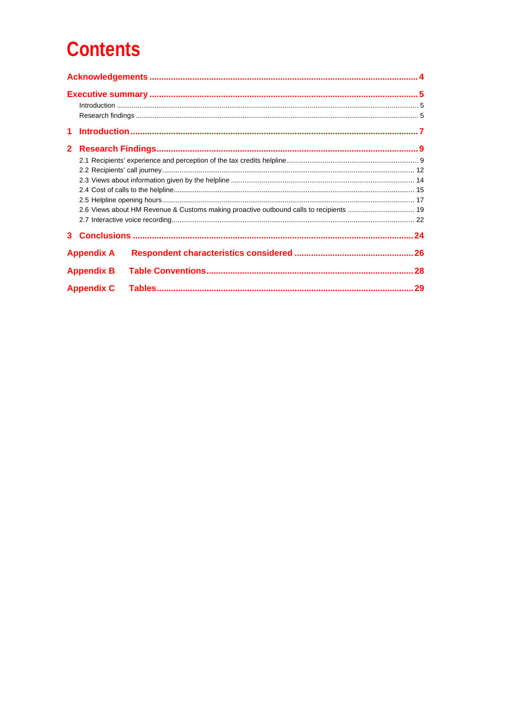# **Contents**

| 1.           |                   |                                                                                        |  |
|--------------|-------------------|----------------------------------------------------------------------------------------|--|
| $\mathbf{2}$ |                   |                                                                                        |  |
|              |                   |                                                                                        |  |
|              |                   |                                                                                        |  |
|              |                   |                                                                                        |  |
|              |                   |                                                                                        |  |
|              |                   |                                                                                        |  |
|              |                   | 2.6 Views about HM Revenue & Customs making proactive outbound calls to recipients  19 |  |
|              |                   |                                                                                        |  |
|              |                   |                                                                                        |  |
|              | <b>Appendix A</b> |                                                                                        |  |
|              | <b>Appendix B</b> |                                                                                        |  |
|              | <b>Appendix C</b> |                                                                                        |  |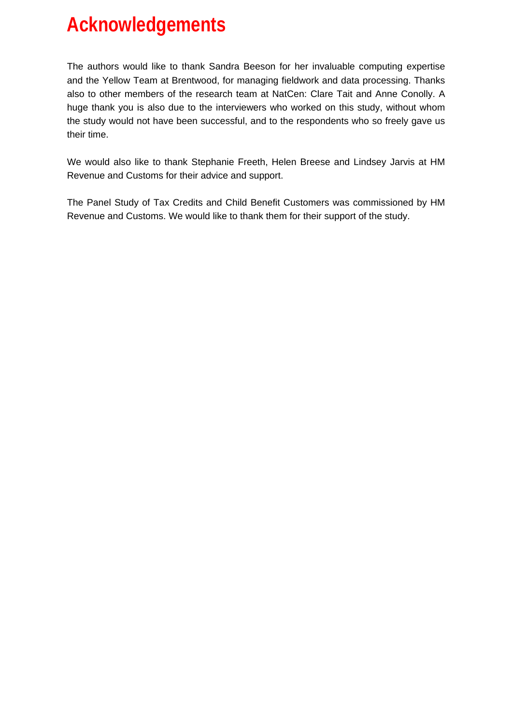# <span id="page-3-0"></span>**Acknowledgements**

The authors would like to thank Sandra Beeson for her invaluable computing expertise and the Yellow Team at Brentwood, for managing fieldwork and data processing. Thanks also to other members of the research team at NatCen: Clare Tait and Anne Conolly. A huge thank you is also due to the interviewers who worked on this study, without whom the study would not have been successful, and to the respondents who so freely gave us their time.

We would also like to thank Stephanie Freeth, Helen Breese and Lindsey Jarvis at HM Revenue and Customs for their advice and support.

The Panel Study of Tax Credits and Child Benefit Customers was commissioned by HM Revenue and Customs. We would like to thank them for their support of the study.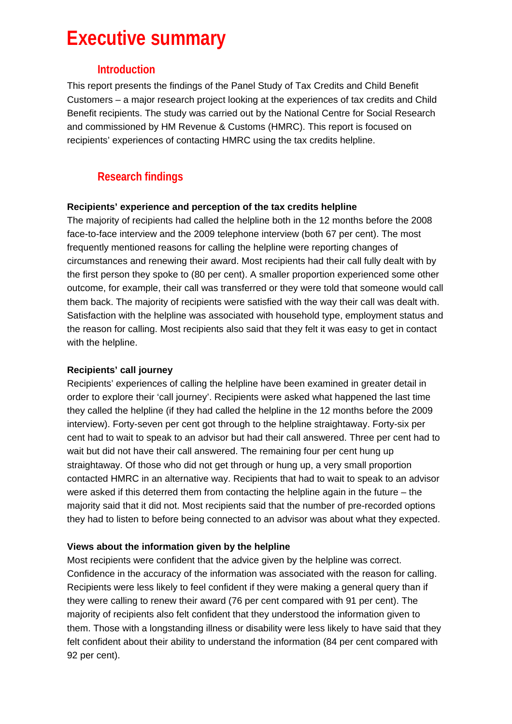# <span id="page-4-0"></span>**Executive summary**

### **Introduction**

This report presents the findings of the Panel Study of Tax Credits and Child Benefit Customers – a major research project looking at the experiences of tax credits and Child Benefit recipients. The study was carried out by the National Centre for Social Research and commissioned by HM Revenue & Customs (HMRC). This report is focused on recipients' experiences of contacting HMRC using the tax credits helpline.

# **Research findings**

#### **Recipients' experience and perception of the tax credits helpline**

The majority of recipients had called the helpline both in the 12 months before the 2008 face-to-face interview and the 2009 telephone interview (both 67 per cent). The most frequently mentioned reasons for calling the helpline were reporting changes of circumstances and renewing their award. Most recipients had their call fully dealt with by the first person they spoke to (80 per cent). A smaller proportion experienced some other outcome, for example, their call was transferred or they were told that someone would call them back. The majority of recipients were satisfied with the way their call was dealt with. Satisfaction with the helpline was associated with household type, employment status and the reason for calling. Most recipients also said that they felt it was easy to get in contact with the helpline.

#### **Recipients' call journey**

Recipients' experiences of calling the helpline have been examined in greater detail in order to explore their 'call journey'. Recipients were asked what happened the last time they called the helpline (if they had called the helpline in the 12 months before the 2009 interview). Forty-seven per cent got through to the helpline straightaway. Forty-six per cent had to wait to speak to an advisor but had their call answered. Three per cent had to wait but did not have their call answered. The remaining four per cent hung up straightaway. Of those who did not get through or hung up, a very small proportion contacted HMRC in an alternative way. Recipients that had to wait to speak to an advisor were asked if this deterred them from contacting the helpline again in the future – the majority said that it did not. Most recipients said that the number of pre-recorded options they had to listen to before being connected to an advisor was about what they expected.

#### **Views about the information given by the helpline**

Most recipients were confident that the advice given by the helpline was correct. Confidence in the accuracy of the information was associated with the reason for calling. Recipients were less likely to feel confident if they were making a general query than if they were calling to renew their award (76 per cent compared with 91 per cent). The majority of recipients also felt confident that they understood the information given to them. Those with a longstanding illness or disability were less likely to have said that they felt confident about their ability to understand the information (84 per cent compared with 92 per cent).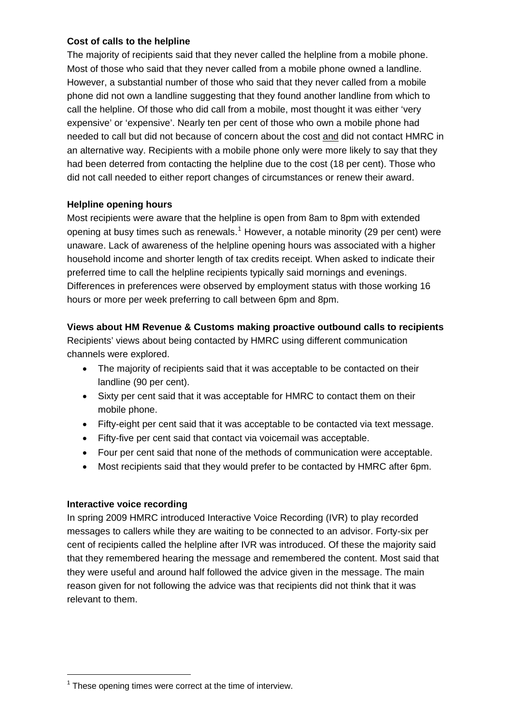#### **Cost of calls to the helpline**

The majority of recipients said that they never called the helpline from a mobile phone. Most of those who said that they never called from a mobile phone owned a landline. However, a substantial number of those who said that they never called from a mobile phone did not own a landline suggesting that they found another landline from which to call the helpline. Of those who did call from a mobile, most thought it was either 'very expensive' or 'expensive'. Nearly ten per cent of those who own a mobile phone had needed to call but did not because of concern about the cost and did not contact HMRC in an alternative way. Recipients with a mobile phone only were more likely to say that they had been deterred from contacting the helpline due to the cost (18 per cent). Those who did not call needed to either report changes of circumstances or renew their award.

#### **Helpline opening hours**

Most recipients were aware that the helpline is open from 8am to 8pm with extended opening at busy times such as renewals.<sup>[1](#page-5-0)</sup> However, a notable minority (29 per cent) were unaware. Lack of awareness of the helpline opening hours was associated with a higher household income and shorter length of tax credits receipt. When asked to indicate their preferred time to call the helpline recipients typically said mornings and evenings. Differences in preferences were observed by employment status with those working 16 hours or more per week preferring to call between 6pm and 8pm.

#### **Views about HM Revenue & Customs making proactive outbound calls to recipients**

Recipients' views about being contacted by HMRC using different communication channels were explored.

- The majority of recipients said that it was acceptable to be contacted on their landline (90 per cent).
- Sixty per cent said that it was acceptable for HMRC to contact them on their mobile phone.
- Fifty-eight per cent said that it was acceptable to be contacted via text message.
- Fifty-five per cent said that contact via voicemail was acceptable.
- Four per cent said that none of the methods of communication were acceptable.
- Most recipients said that they would prefer to be contacted by HMRC after 6pm.

#### **Interactive voice recording**

l

In spring 2009 HMRC introduced Interactive Voice Recording (IVR) to play recorded messages to callers while they are waiting to be connected to an advisor. Forty-six per cent of recipients called the helpline after IVR was introduced. Of these the majority said that they remembered hearing the message and remembered the content. Most said that they were useful and around half followed the advice given in the message. The main reason given for not following the advice was that recipients did not think that it was relevant to them.

<span id="page-5-0"></span> $1$  These opening times were correct at the time of interview.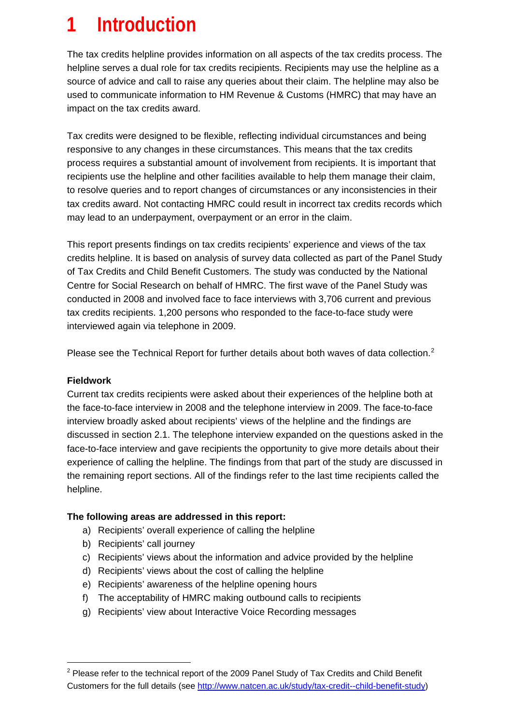# <span id="page-6-0"></span>**1 Introduction**

The tax credits helpline provides information on all aspects of the tax credits process. The helpline serves a dual role for tax credits recipients. Recipients may use the helpline as a source of advice and call to raise any queries about their claim. The helpline may also be used to communicate information to HM Revenue & Customs (HMRC) that may have an impact on the tax credits award.

Tax credits were designed to be flexible, reflecting individual circumstances and being responsive to any changes in these circumstances. This means that the tax credits process requires a substantial amount of involvement from recipients. It is important that recipients use the helpline and other facilities available to help them manage their claim, to resolve queries and to report changes of circumstances or any inconsistencies in their tax credits award. Not contacting HMRC could result in incorrect tax credits records which may lead to an underpayment, overpayment or an error in the claim.

This report presents findings on tax credits recipients' experience and views of the tax credits helpline. It is based on analysis of survey data collected as part of the Panel Study of Tax Credits and Child Benefit Customers. The study was conducted by the National Centre for Social Research on behalf of HMRC. The first wave of the Panel Study was conducted in 2008 and involved face to face interviews with 3,706 current and previous tax credits recipients. 1,200 persons who responded to the face-to-face study were interviewed again via telephone in 2009.

Please see the Technical Report for further details about both waves of data collection.<sup>[2](#page-6-1)</sup>

#### **Fieldwork**

 $\overline{a}$ 

Current tax credits recipients were asked about their experiences of the helpline both at the face-to-face interview in 2008 and the telephone interview in 2009. The face-to-face interview broadly asked about recipients' views of the helpline and the findings are discussed in section 2.1. The telephone interview expanded on the questions asked in the face-to-face interview and gave recipients the opportunity to give more details about their experience of calling the helpline. The findings from that part of the study are discussed in the remaining report sections. All of the findings refer to the last time recipients called the helpline.

#### **The following areas are addressed in this report:**

- a) Recipients' overall experience of calling the helpline
- b) Recipients' call journey
- c) Recipients' views about the information and advice provided by the helpline
- d) Recipients' views about the cost of calling the helpline
- e) Recipients' awareness of the helpline opening hours
- f) The acceptability of HMRC making outbound calls to recipients
- g) Recipients' view about Interactive Voice Recording messages

<span id="page-6-1"></span> $2$  Please refer to the technical report of the 2009 Panel Study of Tax Credits and Child Benefit Customers for the full details (see <http://www.natcen.ac.uk/study/tax-credit--child-benefit-study>)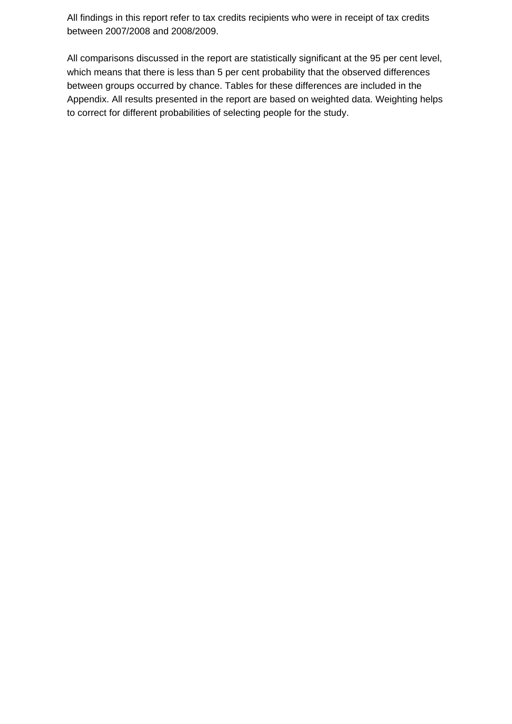All findings in this report refer to tax credits recipients who were in receipt of tax credits between 2007/2008 and 2008/2009.

All comparisons discussed in the report are statistically significant at the 95 per cent level, which means that there is less than 5 per cent probability that the observed differences between groups occurred by chance. Tables for these differences are included in the Appendix. All results presented in the report are based on weighted data. Weighting helps to correct for different probabilities of selecting people for the study.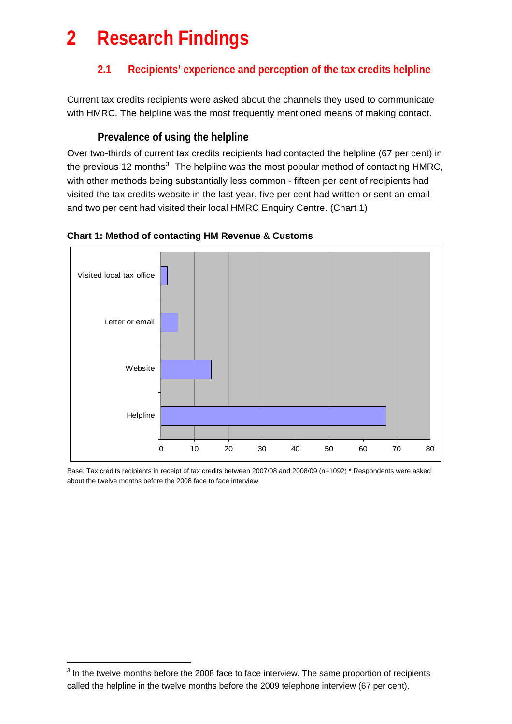# <span id="page-8-0"></span>**2 Research Findings**

# **2.1 Recipients' experience and perception of the tax credits helpline**

Current tax credits recipients were asked about the channels they used to communicate with HMRC. The helpline was the most frequently mentioned means of making contact.

# **Prevalence of using the helpline**

Over two-thirds of current tax credits recipients had contacted the helpline (67 per cent) in the previous 12 months<sup>[3](#page-8-1)</sup>. The helpline was the most popular method of contacting HMRC, with other methods being substantially less common - fifteen per cent of recipients had visited the tax credits website in the last year, five per cent had written or sent an email and two per cent had visited their local HMRC Enquiry Centre. (Chart 1)



#### **Chart 1: Method of contacting HM Revenue & Customs**

Base: Tax credits recipients in receipt of tax credits between 2007/08 and 2008/09 (n=1092) \* Respondents were asked about the twelve months before the 2008 face to face interview

 $\overline{a}$ 

<span id="page-8-1"></span> $3$  In the twelve months before the 2008 face to face interview. The same proportion of recipients called the helpline in the twelve months before the 2009 telephone interview (67 per cent).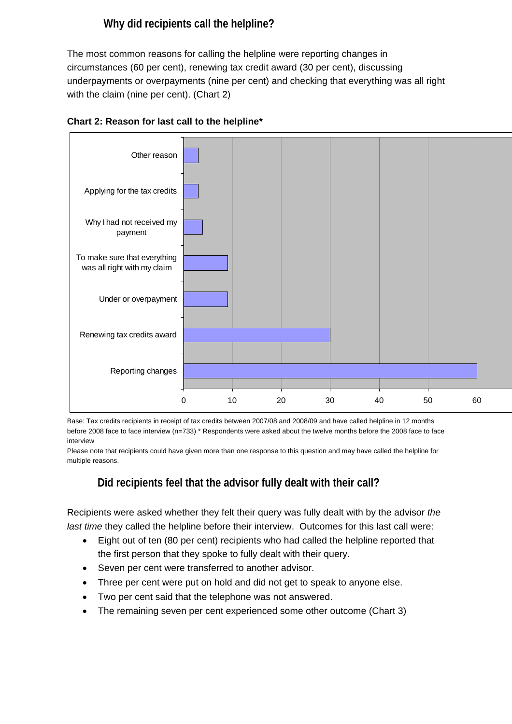# **Why did recipients call the helpline?**

The most common reasons for calling the helpline were reporting changes in circumstances (60 per cent), renewing tax credit award (30 per cent), discussing underpayments or overpayments (nine per cent) and checking that everything was all right with the claim (nine per cent). (Chart 2)



#### **Chart 2: Reason for last call to the helpline\***

Base: Tax credits recipients in receipt of tax credits between 2007/08 and 2008/09 and have called helpline in 12 months before 2008 face to face interview (n=733) \* Respondents were asked about the twelve months before the 2008 face to face interview

Please note that recipients could have given more than one response to this question and may have called the helpline for multiple reasons.

# **Did recipients feel that the advisor fully dealt with their call?**

Recipients were asked whether they felt their query was fully dealt with by the advisor *the last time* they called the helpline before their interview. Outcomes for this last call were:

- Eight out of ten (80 per cent) recipients who had called the helpline reported that the first person that they spoke to fully dealt with their query.
- Seven per cent were transferred to another advisor.
- Three per cent were put on hold and did not get to speak to anyone else.
- Two per cent said that the telephone was not answered.
- The remaining seven per cent experienced some other outcome (Chart 3)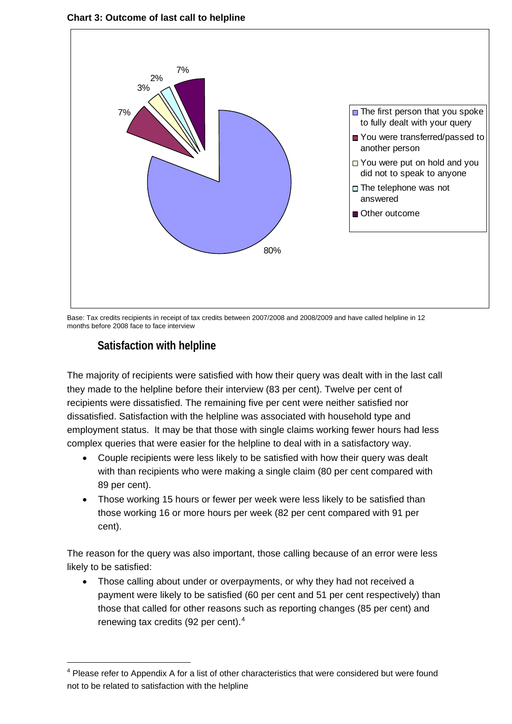**Chart 3: Outcome of last call to helpline** 



Base: Tax credits recipients in receipt of tax credits between 2007/2008 and 2008/2009 and have called helpline in 12 months before 2008 face to face interview

# **Satisfaction with helpline**

 $\overline{a}$ 

The majority of recipients were satisfied with how their query was dealt with in the last call they made to the helpline before their interview (83 per cent). Twelve per cent of recipients were dissatisfied. The remaining five per cent were neither satisfied nor dissatisfied. Satisfaction with the helpline was associated with household type and employment status. It may be that those with single claims working fewer hours had less complex queries that were easier for the helpline to deal with in a satisfactory way.

- Couple recipients were less likely to be satisfied with how their query was dealt with than recipients who were making a single claim (80 per cent compared with 89 per cent).
- Those working 15 hours or fewer per week were less likely to be satisfied than those working 16 or more hours per week (82 per cent compared with 91 per cent).

The reason for the query was also important, those calling because of an error were less likely to be satisfied:

• Those calling about under or overpayments, or why they had not received a payment were likely to be satisfied (60 per cent and 51 per cent respectively) than those that called for other reasons such as reporting changes (85 per cent) and renewing tax credits (92 per cent). $4$ 

<span id="page-10-0"></span> $4$  Please refer to Appendix A for a list of other characteristics that were considered but were found not to be related to satisfaction with the helpline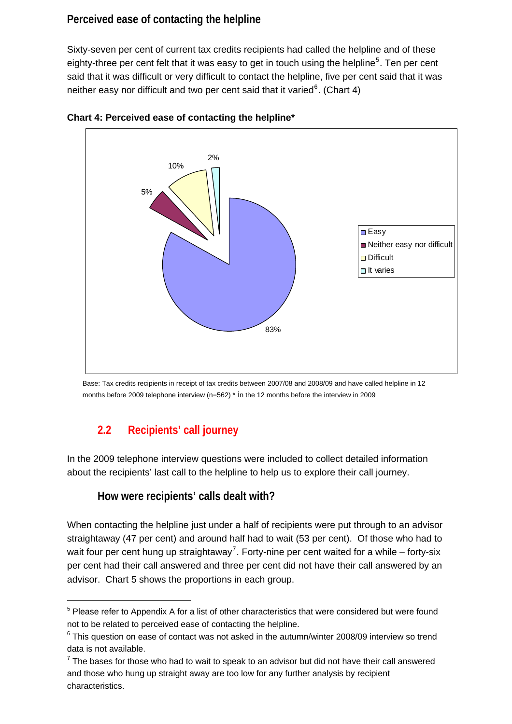# <span id="page-11-0"></span>**Perceived ease of contacting the helpline**

Sixty-seven per cent of current tax credits recipients had called the helpline and of these eighty-three per cent felt that it was easy to get in touch using the helpline<sup>[5](#page-11-1)</sup>. Ten per cent said that it was difficult or very difficult to contact the helpline, five per cent said that it was neither easy nor difficult and two per cent said that it varied $6$ . (Chart 4)





Base: Tax credits recipients in receipt of tax credits between 2007/08 and 2008/09 and have called helpline in 12 months before 2009 telephone interview ( $n=562$ )  $*$  in the 12 months before the interview in 2009

# **2.2 Recipients' call journey**

l

In the 2009 telephone interview questions were included to collect detailed information about the recipients' last call to the helpline to help us to explore their call journey.

### **How were recipients' calls dealt with?**

When contacting the helpline just under a half of recipients were put through to an advisor straightaway (47 per cent) and around half had to wait (53 per cent). Of those who had to wait four per cent hung up straightaway<sup>[7](#page-11-3)</sup>. Forty-nine per cent waited for a while – forty-six per cent had their call answered and three per cent did not have their call answered by an advisor. Chart 5 shows the proportions in each group.

<span id="page-11-1"></span> $5$  Please refer to Appendix A for a list of other characteristics that were considered but were found not to be related to perceived ease of contacting the helpline.

<span id="page-11-2"></span> $6$  This question on ease of contact was not asked in the autumn/winter 2008/09 interview so trend data is not available.

<span id="page-11-3"></span> $7$  The bases for those who had to wait to speak to an advisor but did not have their call answered and those who hung up straight away are too low for any further analysis by recipient characteristics.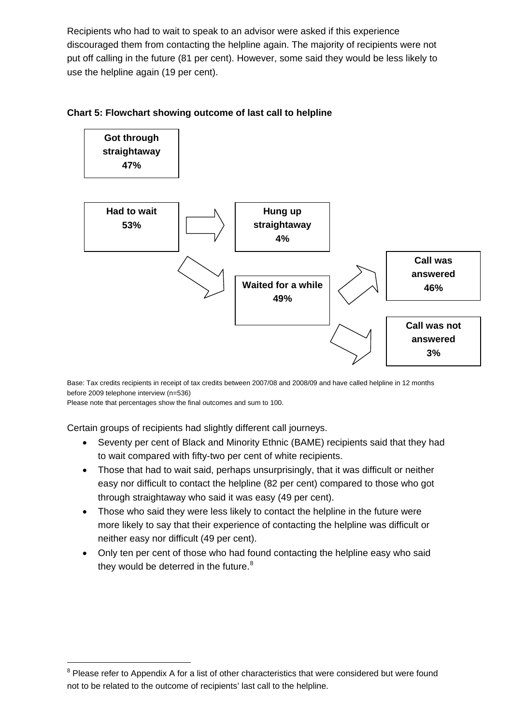Recipients who had to wait to speak to an advisor were asked if this experience discouraged them from contacting the helpline again. The majority of recipients were not put off calling in the future (81 per cent). However, some said they would be less likely to use the helpline again (19 per cent).

#### **Chart 5: Flowchart showing outcome of last call to helpline**



Base: Tax credits recipients in receipt of tax credits between 2007/08 and 2008/09 and have called helpline in 12 months before 2009 telephone interview (n=536)

Please note that percentages show the final outcomes and sum to 100.

 $\overline{a}$ 

Certain groups of recipients had slightly different call journeys.

- Seventy per cent of Black and Minority Ethnic (BAME) recipients said that they had to wait compared with fifty-two per cent of white recipients.
- Those that had to wait said, perhaps unsurprisingly, that it was difficult or neither easy nor difficult to contact the helpline (82 per cent) compared to those who got through straightaway who said it was easy (49 per cent).
- Those who said they were less likely to contact the helpline in the future were more likely to say that their experience of contacting the helpline was difficult or neither easy nor difficult (49 per cent).
- Only ten per cent of those who had found contacting the helpline easy who said they would be deterred in the future. $8$

<span id="page-12-0"></span> $8$  Please refer to Appendix A for a list of other characteristics that were considered but were found not to be related to the outcome of recipients' last call to the helpline.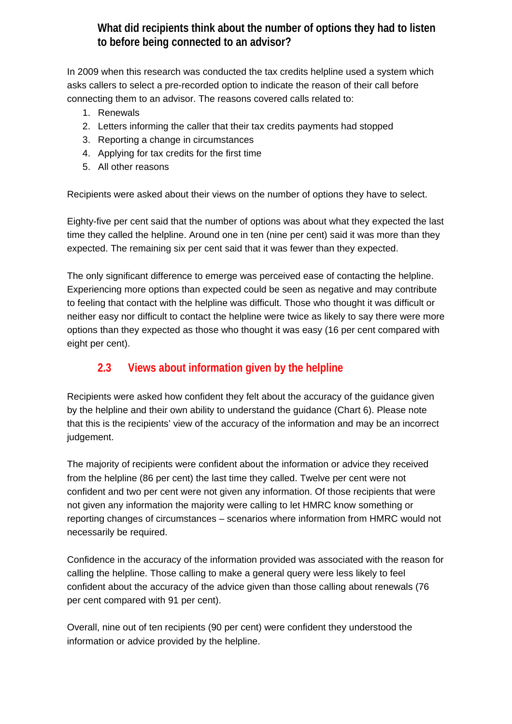# **What did recipients think about the number of options they had to listen to before being connected to an advisor?**

<span id="page-13-0"></span>In 2009 when this research was conducted the tax credits helpline used a system which asks callers to select a pre-recorded option to indicate the reason of their call before connecting them to an advisor. The reasons covered calls related to:

- 1. Renewals
- 2. Letters informing the caller that their tax credits payments had stopped
- 3. Reporting a change in circumstances
- 4. Applying for tax credits for the first time
- 5. All other reasons

Recipients were asked about their views on the number of options they have to select.

Eighty-five per cent said that the number of options was about what they expected the last time they called the helpline. Around one in ten (nine per cent) said it was more than they expected. The remaining six per cent said that it was fewer than they expected.

The only significant difference to emerge was perceived ease of contacting the helpline. Experiencing more options than expected could be seen as negative and may contribute to feeling that contact with the helpline was difficult. Those who thought it was difficult or neither easy nor difficult to contact the helpline were twice as likely to say there were more options than they expected as those who thought it was easy (16 per cent compared with eight per cent).

# **2.3 Views about information given by the helpline**

Recipients were asked how confident they felt about the accuracy of the guidance given by the helpline and their own ability to understand the guidance (Chart 6). Please note that this is the recipients' view of the accuracy of the information and may be an incorrect judgement.

The majority of recipients were confident about the information or advice they received from the helpline (86 per cent) the last time they called. Twelve per cent were not confident and two per cent were not given any information. Of those recipients that were not given any information the majority were calling to let HMRC know something or reporting changes of circumstances – scenarios where information from HMRC would not necessarily be required.

Confidence in the accuracy of the information provided was associated with the reason for calling the helpline. Those calling to make a general query were less likely to feel confident about the accuracy of the advice given than those calling about renewals (76 per cent compared with 91 per cent).

Overall, nine out of ten recipients (90 per cent) were confident they understood the information or advice provided by the helpline.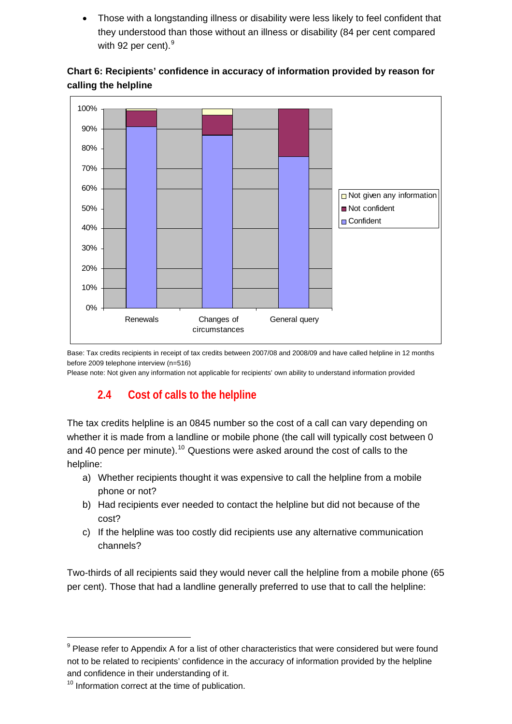<span id="page-14-0"></span>• Those with a longstanding illness or disability were less likely to feel confident that they understood than those without an illness or disability (84 per cent compared with [9](#page-14-1)2 per cent).<sup>9</sup>





Base: Tax credits recipients in receipt of tax credits between 2007/08 and 2008/09 and have called helpline in 12 months before 2009 telephone interview (n=516)

Please note: Not given any information not applicable for recipients' own ability to understand information provided

# **2.4 Cost of calls to the helpline**

The tax credits helpline is an 0845 number so the cost of a call can vary depending on whether it is made from a landline or mobile phone (the call will typically cost between 0 and 40 pence per minute).<sup>[10](#page-14-2)</sup> Questions were asked around the cost of calls to the helpline:

- a) Whether recipients thought it was expensive to call the helpline from a mobile phone or not?
- b) Had recipients ever needed to contact the helpline but did not because of the cost?
- c) If the helpline was too costly did recipients use any alternative communication channels?

Two-thirds of all recipients said they would never call the helpline from a mobile phone (65 per cent). Those that had a landline generally preferred to use that to call the helpline:

l

<span id="page-14-1"></span> $9$  Please refer to Appendix A for a list of other characteristics that were considered but were found not to be related to recipients' confidence in the accuracy of information provided by the helpline and confidence in their understanding of it.

<span id="page-14-2"></span><sup>&</sup>lt;sup>10</sup> Information correct at the time of publication.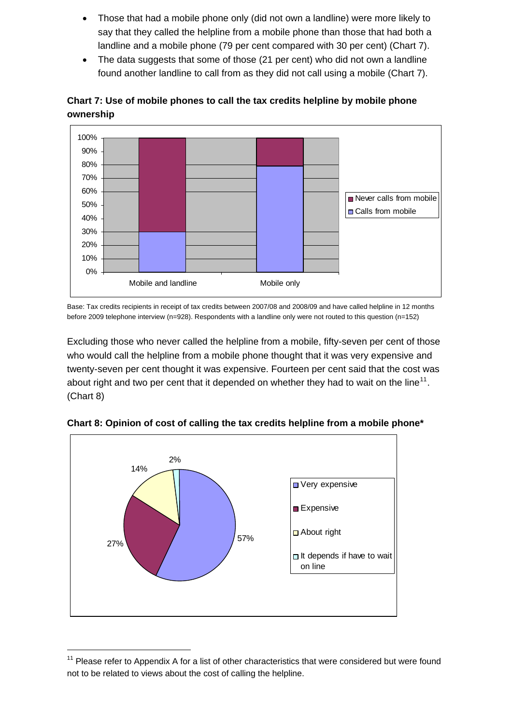- Those that had a mobile phone only (did not own a landline) were more likely to say that they called the helpline from a mobile phone than those that had both a landline and a mobile phone (79 per cent compared with 30 per cent) (Chart 7).
- The data suggests that some of those (21 per cent) who did not own a landline found another landline to call from as they did not call using a mobile (Chart 7).



### **Chart 7: Use of mobile phones to call the tax credits helpline by mobile phone ownership**

Base: Tax credits recipients in receipt of tax credits between 2007/08 and 2008/09 and have called helpline in 12 months before 2009 telephone interview (n=928). Respondents with a landline only were not routed to this question (n=152)

Excluding those who never called the helpline from a mobile, fifty-seven per cent of those who would call the helpline from a mobile phone thought that it was very expensive and twenty-seven per cent thought it was expensive. Fourteen per cent said that the cost was about right and two per cent that it depended on whether they had to wait on the line<sup>[11](#page-15-0)</sup>. (Chart 8)



l

**Chart 8: Opinion of cost of calling the tax credits helpline from a mobile phone\*** 

<span id="page-15-0"></span> $11$  Please refer to Appendix A for a list of other characteristics that were considered but were found not to be related to views about the cost of calling the helpline.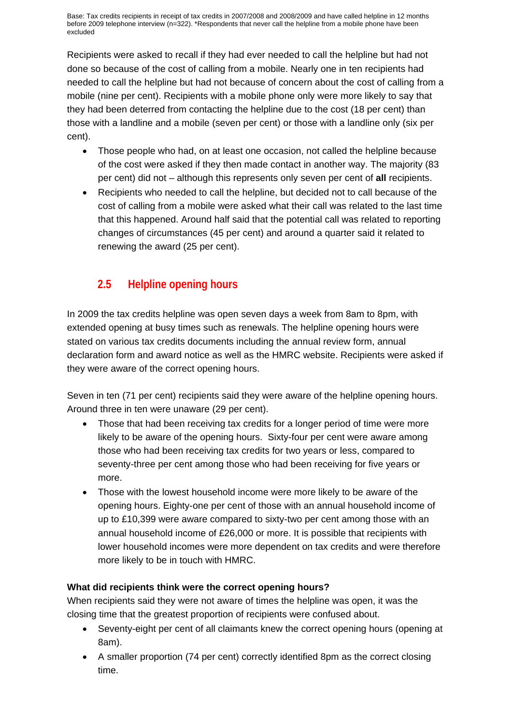<span id="page-16-0"></span>Base: Tax credits recipients in receipt of tax credits in 2007/2008 and 2008/2009 and have called helpline in 12 months before 2009 telephone interview (n=322). \*Respondents that never call the helpline from a mobile phone have been excluded

Recipients were asked to recall if they had ever needed to call the helpline but had not done so because of the cost of calling from a mobile. Nearly one in ten recipients had needed to call the helpline but had not because of concern about the cost of calling from a mobile (nine per cent). Recipients with a mobile phone only were more likely to say that they had been deterred from contacting the helpline due to the cost (18 per cent) than those with a landline and a mobile (seven per cent) or those with a landline only (six per cent).

- Those people who had, on at least one occasion, not called the helpline because of the cost were asked if they then made contact in another way. The majority (83 per cent) did not – although this represents only seven per cent of **all** recipients.
- Recipients who needed to call the helpline, but decided not to call because of the cost of calling from a mobile were asked what their call was related to the last time that this happened. Around half said that the potential call was related to reporting changes of circumstances (45 per cent) and around a quarter said it related to renewing the award (25 per cent).

# **2.5 Helpline opening hours**

In 2009 the tax credits helpline was open seven days a week from 8am to 8pm, with extended opening at busy times such as renewals. The helpline opening hours were stated on various tax credits documents including the annual review form, annual declaration form and award notice as well as the HMRC website. Recipients were asked if they were aware of the correct opening hours.

Seven in ten (71 per cent) recipients said they were aware of the helpline opening hours. Around three in ten were unaware (29 per cent).

- Those that had been receiving tax credits for a longer period of time were more likely to be aware of the opening hours. Sixty-four per cent were aware among those who had been receiving tax credits for two years or less, compared to seventy-three per cent among those who had been receiving for five years or more.
- Those with the lowest household income were more likely to be aware of the opening hours. Eighty-one per cent of those with an annual household income of up to £10,399 were aware compared to sixty-two per cent among those with an annual household income of £26,000 or more. It is possible that recipients with lower household incomes were more dependent on tax credits and were therefore more likely to be in touch with HMRC.

### **What did recipients think were the correct opening hours?**

When recipients said they were not aware of times the helpline was open, it was the closing time that the greatest proportion of recipients were confused about.

- Seventy-eight per cent of all claimants knew the correct opening hours (opening at 8am).
- A smaller proportion (74 per cent) correctly identified 8pm as the correct closing time.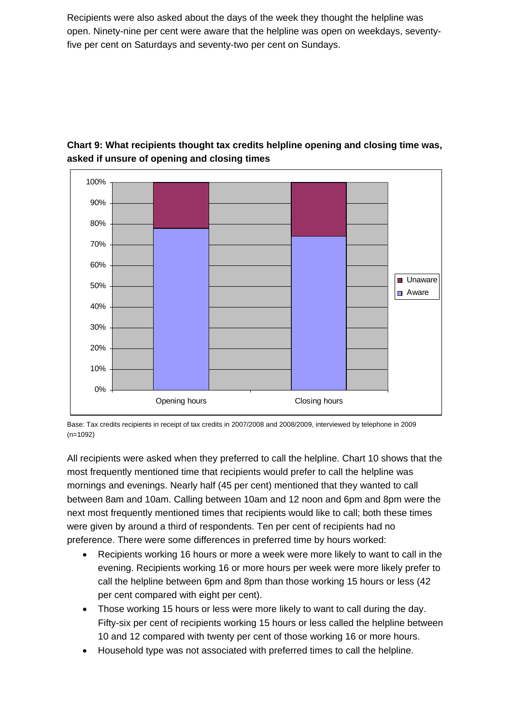Recipients were also asked about the days of the week they thought the helpline was open. Ninety-nine per cent were aware that the helpline was open on weekdays, seventyfive per cent on Saturdays and seventy-two per cent on Sundays.



### **Chart 9: What recipients thought tax credits helpline opening and closing time was, asked if unsure of opening and closing times**

Base: Tax credits recipients in receipt of tax credits in 2007/2008 and 2008/2009, interviewed by telephone in 2009 (n=1092)

All recipients were asked when they preferred to call the helpline. Chart 10 shows that the most frequently mentioned time that recipients would prefer to call the helpline was mornings and evenings. Nearly half (45 per cent) mentioned that they wanted to call between 8am and 10am. Calling between 10am and 12 noon and 6pm and 8pm were the next most frequently mentioned times that recipients would like to call; both these times were given by around a third of respondents. Ten per cent of recipients had no preference. There were some differences in preferred time by hours worked:

- Recipients working 16 hours or more a week were more likely to want to call in the evening. Recipients working 16 or more hours per week were more likely prefer to call the helpline between 6pm and 8pm than those working 15 hours or less (42 per cent compared with eight per cent).
- Those working 15 hours or less were more likely to want to call during the day. Fifty-six per cent of recipients working 15 hours or less called the helpline between 10 and 12 compared with twenty per cent of those working 16 or more hours.
- Household type was not associated with preferred times to call the helpline.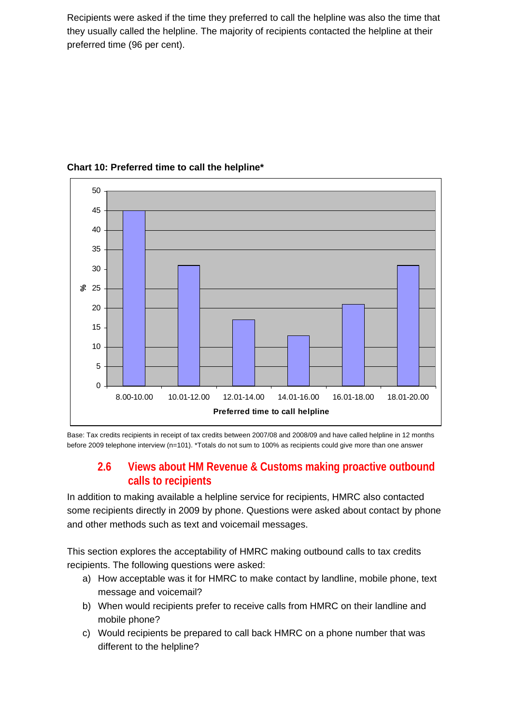<span id="page-18-0"></span>Recipients were asked if the time they preferred to call the helpline was also the time that they usually called the helpline. The majority of recipients contacted the helpline at their preferred time (96 per cent).



**Chart 10: Preferred time to call the helpline\*** 

Base: Tax credits recipients in receipt of tax credits between 2007/08 and 2008/09 and have called helpline in 12 months before 2009 telephone interview (n=101). \*Totals do not sum to 100% as recipients could give more than one answer

### **2.6 Views about HM Revenue & Customs making proactive outbound calls to recipients**

In addition to making available a helpline service for recipients, HMRC also contacted some recipients directly in 2009 by phone. Questions were asked about contact by phone and other methods such as text and voicemail messages.

This section explores the acceptability of HMRC making outbound calls to tax credits recipients. The following questions were asked:

- a) How acceptable was it for HMRC to make contact by landline, mobile phone, text message and voicemail?
- b) When would recipients prefer to receive calls from HMRC on their landline and mobile phone?
- c) Would recipients be prepared to call back HMRC on a phone number that was different to the helpline?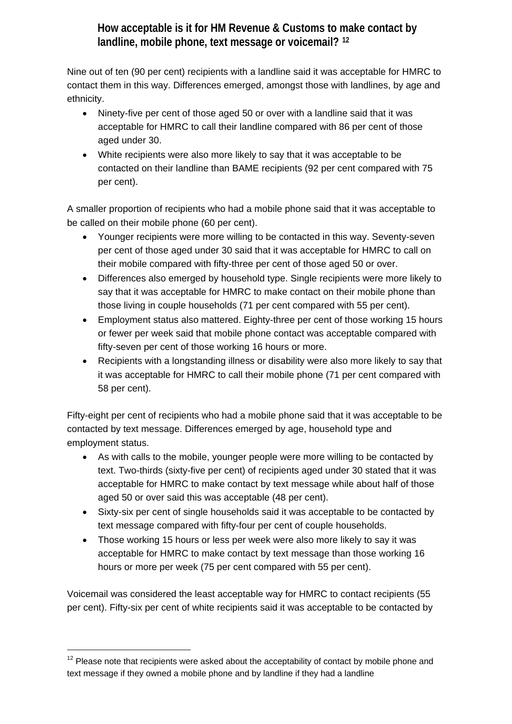# **How acceptable is it for HM Revenue & Customs to make contact by landline, mobile phone, text message or voicemail? [12](#page-19-0)**

Nine out of ten (90 per cent) recipients with a landline said it was acceptable for HMRC to contact them in this way. Differences emerged, amongst those with landlines, by age and ethnicity.

- Ninety-five per cent of those aged 50 or over with a landline said that it was acceptable for HMRC to call their landline compared with 86 per cent of those aged under 30.
- White recipients were also more likely to say that it was acceptable to be contacted on their landline than BAME recipients (92 per cent compared with 75 per cent).

A smaller proportion of recipients who had a mobile phone said that it was acceptable to be called on their mobile phone (60 per cent).

- Younger recipients were more willing to be contacted in this way. Seventy-seven per cent of those aged under 30 said that it was acceptable for HMRC to call on their mobile compared with fifty-three per cent of those aged 50 or over.
- Differences also emerged by household type. Single recipients were more likely to say that it was acceptable for HMRC to make contact on their mobile phone than those living in couple households (71 per cent compared with 55 per cent).
- Employment status also mattered. Eighty-three per cent of those working 15 hours or fewer per week said that mobile phone contact was acceptable compared with fifty-seven per cent of those working 16 hours or more.
- Recipients with a longstanding illness or disability were also more likely to say that it was acceptable for HMRC to call their mobile phone (71 per cent compared with 58 per cent).

Fifty-eight per cent of recipients who had a mobile phone said that it was acceptable to be contacted by text message. Differences emerged by age, household type and employment status.

- As with calls to the mobile, younger people were more willing to be contacted by text. Two-thirds (sixty-five per cent) of recipients aged under 30 stated that it was acceptable for HMRC to make contact by text message while about half of those aged 50 or over said this was acceptable (48 per cent).
- Sixty-six per cent of single households said it was acceptable to be contacted by text message compared with fifty-four per cent of couple households.
- Those working 15 hours or less per week were also more likely to say it was acceptable for HMRC to make contact by text message than those working 16 hours or more per week (75 per cent compared with 55 per cent).

Voicemail was considered the least acceptable way for HMRC to contact recipients (55 per cent). Fifty-six per cent of white recipients said it was acceptable to be contacted by

l

<span id="page-19-0"></span> $12$  Please note that recipients were asked about the acceptability of contact by mobile phone and text message if they owned a mobile phone and by landline if they had a landline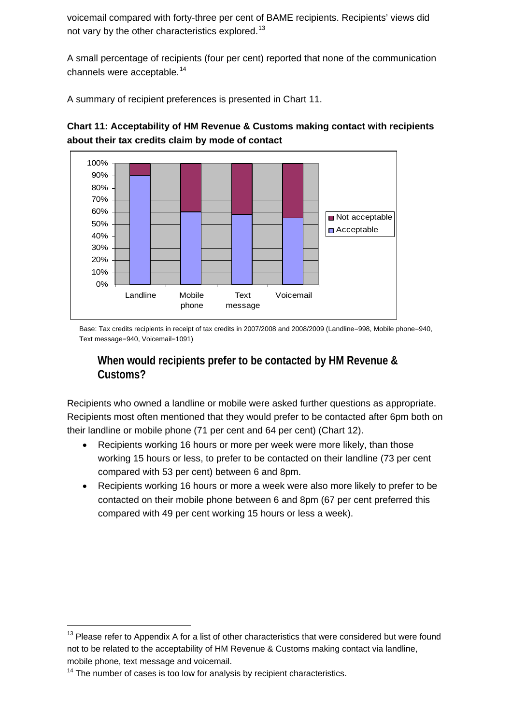voicemail compared with forty-three per cent of BAME recipients. Recipients' views did not vary by the other characteristics explored.<sup>[13](#page-20-0)</sup>

A small percentage of recipients (four per cent) reported that none of the communication channels were acceptable.<sup>[14](#page-20-1)</sup>

A summary of recipient preferences is presented in Chart 11.



**Chart 11: Acceptability of HM Revenue & Customs making contact with recipients about their tax credits claim by mode of contact** 

Base: Tax credits recipients in receipt of tax credits in 2007/2008 and 2008/2009 (Landline=998, Mobile phone=940, Text message=940, Voicemail=1091)

# **When would recipients prefer to be contacted by HM Revenue & Customs?**

Recipients who owned a landline or mobile were asked further questions as appropriate. Recipients most often mentioned that they would prefer to be contacted after 6pm both on their landline or mobile phone (71 per cent and 64 per cent) (Chart 12).

- Recipients working 16 hours or more per week were more likely, than those working 15 hours or less, to prefer to be contacted on their landline (73 per cent compared with 53 per cent) between 6 and 8pm.
- Recipients working 16 hours or more a week were also more likely to prefer to be contacted on their mobile phone between 6 and 8pm (67 per cent preferred this compared with 49 per cent working 15 hours or less a week).

 $\overline{a}$ 

<span id="page-20-0"></span> $13$  Please refer to Appendix A for a list of other characteristics that were considered but were found not to be related to the acceptability of HM Revenue & Customs making contact via landline, mobile phone, text message and voicemail.

<span id="page-20-1"></span> $14$  The number of cases is too low for analysis by recipient characteristics.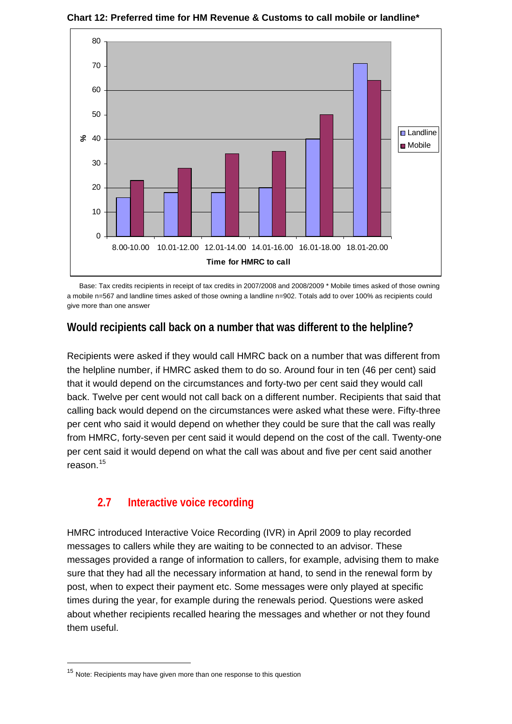

<span id="page-21-0"></span>**Chart 12: Preferred time for HM Revenue & Customs to call mobile or landline\*** 

Base: Tax credits recipients in receipt of tax credits in 2007/2008 and 2008/2009 \* Mobile times asked of those owning a mobile n=567 and landline times asked of those owning a landline n=902. Totals add to over 100% as recipients could give more than one answer

### **Would recipients call back on a number that was different to the helpline?**

Recipients were asked if they would call HMRC back on a number that was different from the helpline number, if HMRC asked them to do so. Around four in ten (46 per cent) said that it would depend on the circumstances and forty-two per cent said they would call back. Twelve per cent would not call back on a different number. Recipients that said that calling back would depend on the circumstances were asked what these were. Fifty-three per cent who said it would depend on whether they could be sure that the call was really from HMRC, forty-seven per cent said it would depend on the cost of the call. Twenty-one per cent said it would depend on what the call was about and five per cent said another reason $15$ 

# **2.7 Interactive voice recording**

HMRC introduced Interactive Voice Recording (IVR) in April 2009 to play recorded messages to callers while they are waiting to be connected to an advisor. These messages provided a range of information to callers, for example, advising them to make sure that they had all the necessary information at hand, to send in the renewal form by post, when to expect their payment etc. Some messages were only played at specific times during the year, for example during the renewals period. Questions were asked about whether recipients recalled hearing the messages and whether or not they found them useful.

l

<span id="page-21-1"></span><sup>&</sup>lt;sup>15</sup> Note: Recipients may have given more than one response to this question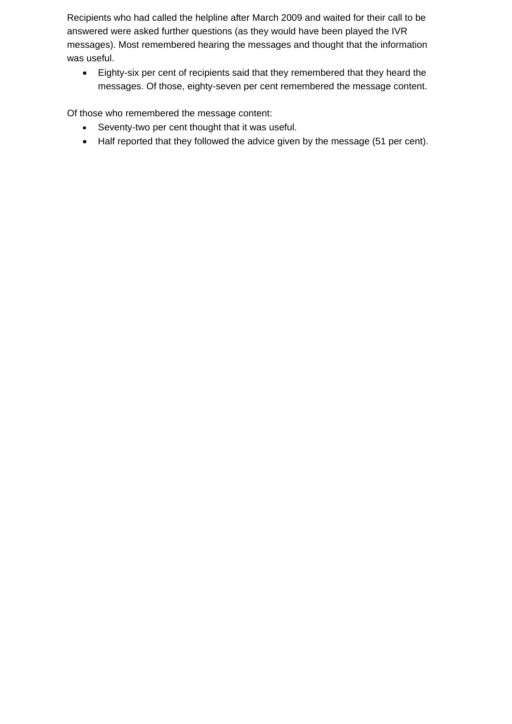Recipients who had called the helpline after March 2009 and waited for their call to be answered were asked further questions (as they would have been played the IVR messages). Most remembered hearing the messages and thought that the information was useful.

• Eighty-six per cent of recipients said that they remembered that they heard the messages. Of those, eighty-seven per cent remembered the message content.

Of those who remembered the message content:

- Seventy-two per cent thought that it was useful.
- Half reported that they followed the advice given by the message (51 per cent).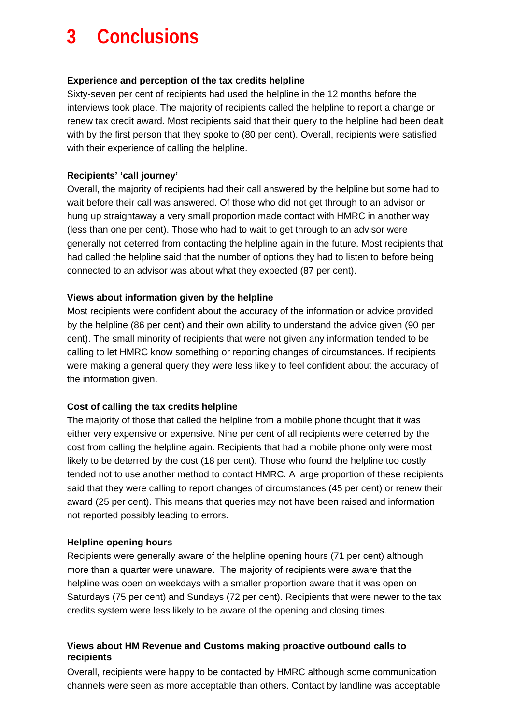# <span id="page-23-0"></span>**3 Conclusions**

#### **Experience and perception of the tax credits helpline**

Sixty-seven per cent of recipients had used the helpline in the 12 months before the interviews took place. The majority of recipients called the helpline to report a change or renew tax credit award. Most recipients said that their query to the helpline had been dealt with by the first person that they spoke to (80 per cent). Overall, recipients were satisfied with their experience of calling the helpline.

#### **Recipients' 'call journey'**

Overall, the majority of recipients had their call answered by the helpline but some had to wait before their call was answered. Of those who did not get through to an advisor or hung up straightaway a very small proportion made contact with HMRC in another way (less than one per cent). Those who had to wait to get through to an advisor were generally not deterred from contacting the helpline again in the future. Most recipients that had called the helpline said that the number of options they had to listen to before being connected to an advisor was about what they expected (87 per cent).

#### **Views about information given by the helpline**

Most recipients were confident about the accuracy of the information or advice provided by the helpline (86 per cent) and their own ability to understand the advice given (90 per cent). The small minority of recipients that were not given any information tended to be calling to let HMRC know something or reporting changes of circumstances. If recipients were making a general query they were less likely to feel confident about the accuracy of the information given.

#### **Cost of calling the tax credits helpline**

The majority of those that called the helpline from a mobile phone thought that it was either very expensive or expensive. Nine per cent of all recipients were deterred by the cost from calling the helpline again. Recipients that had a mobile phone only were most likely to be deterred by the cost (18 per cent). Those who found the helpline too costly tended not to use another method to contact HMRC. A large proportion of these recipients said that they were calling to report changes of circumstances (45 per cent) or renew their award (25 per cent). This means that queries may not have been raised and information not reported possibly leading to errors.

#### **Helpline opening hours**

Recipients were generally aware of the helpline opening hours (71 per cent) although more than a quarter were unaware. The majority of recipients were aware that the helpline was open on weekdays with a smaller proportion aware that it was open on Saturdays (75 per cent) and Sundays (72 per cent). Recipients that were newer to the tax credits system were less likely to be aware of the opening and closing times.

#### **Views about HM Revenue and Customs making proactive outbound calls to recipients**

Overall, recipients were happy to be contacted by HMRC although some communication channels were seen as more acceptable than others. Contact by landline was acceptable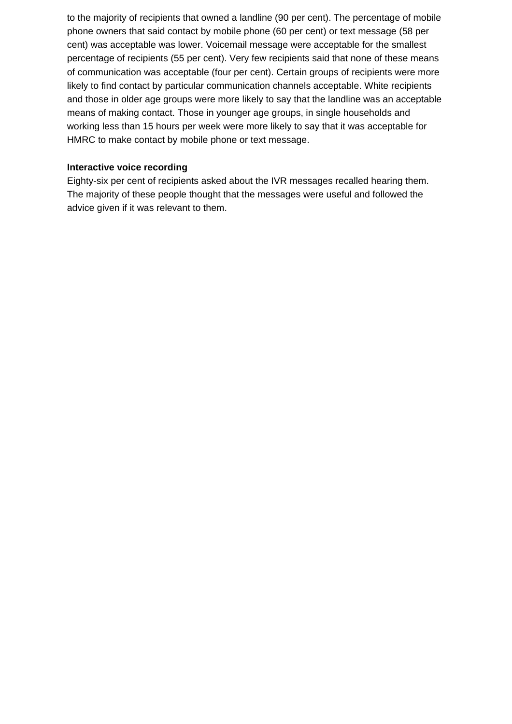to the majority of recipients that owned a landline (90 per cent). The percentage of mobile phone owners that said contact by mobile phone (60 per cent) or text message (58 per cent) was acceptable was lower. Voicemail message were acceptable for the smallest percentage of recipients (55 per cent). Very few recipients said that none of these means of communication was acceptable (four per cent). Certain groups of recipients were more likely to find contact by particular communication channels acceptable. White recipients and those in older age groups were more likely to say that the landline was an acceptable means of making contact. Those in younger age groups, in single households and working less than 15 hours per week were more likely to say that it was acceptable for HMRC to make contact by mobile phone or text message.

#### **Interactive voice recording**

Eighty-six per cent of recipients asked about the IVR messages recalled hearing them. The majority of these people thought that the messages were useful and followed the advice given if it was relevant to them.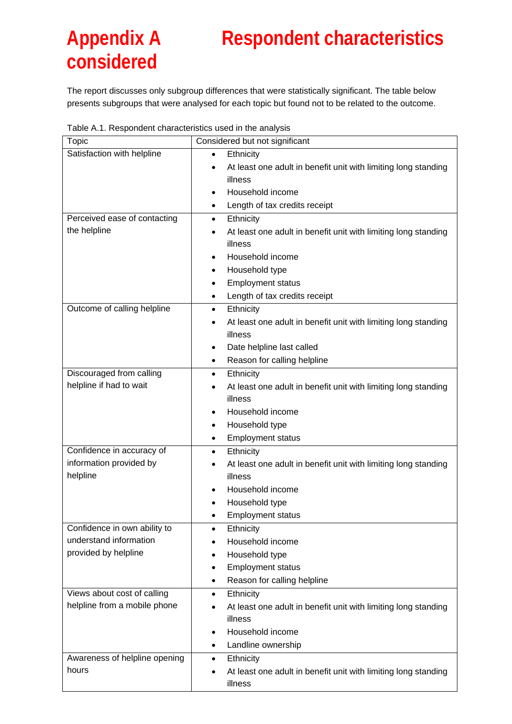# <span id="page-25-0"></span>**Appendix A Respondent characteristics considered**

The report discusses only subgroup differences that were statistically significant. The table below presents subgroups that were analysed for each topic but found not to be related to the outcome.

| rabic A.T. Respondent characteristics ased in the analysis<br>Topic | Considered but not significant                                              |
|---------------------------------------------------------------------|-----------------------------------------------------------------------------|
| Satisfaction with helpline                                          | Ethnicity<br>$\bullet$                                                      |
|                                                                     | At least one adult in benefit unit with limiting long standing              |
|                                                                     | illness                                                                     |
|                                                                     | Household income                                                            |
|                                                                     | Length of tax credits receipt<br>٠                                          |
| Perceived ease of contacting                                        | Ethnicity<br>$\bullet$                                                      |
| the helpline                                                        | At least one adult in benefit unit with limiting long standing<br>$\bullet$ |
|                                                                     | illness                                                                     |
|                                                                     | Household income<br>$\bullet$                                               |
|                                                                     | Household type                                                              |
|                                                                     | <b>Employment status</b>                                                    |
|                                                                     | Length of tax credits receipt<br>$\bullet$                                  |
| Outcome of calling helpline                                         | Ethnicity<br>$\bullet$                                                      |
|                                                                     | At least one adult in benefit unit with limiting long standing              |
|                                                                     | illness                                                                     |
|                                                                     | Date helpline last called<br>٠                                              |
|                                                                     | Reason for calling helpline<br>$\bullet$                                    |
| Discouraged from calling                                            | Ethnicity<br>٠                                                              |
| helpline if had to wait                                             | At least one adult in benefit unit with limiting long standing              |
|                                                                     | illness                                                                     |
|                                                                     | Household income<br>$\bullet$                                               |
|                                                                     | Household type<br>٠                                                         |
|                                                                     | <b>Employment status</b><br>٠                                               |
| Confidence in accuracy of                                           | Ethnicity<br>٠                                                              |
| information provided by                                             | At least one adult in benefit unit with limiting long standing              |
| helpline                                                            | illness                                                                     |
|                                                                     | Household income                                                            |
|                                                                     | Household type                                                              |
|                                                                     | <b>Employment status</b>                                                    |
| Confidence in own ability to                                        | Ethnicity<br>$\bullet$                                                      |
| understand information                                              | Household income                                                            |
| provided by helpline                                                | Household type                                                              |
|                                                                     | <b>Employment status</b><br>٠                                               |
|                                                                     | Reason for calling helpline<br>٠                                            |
| Views about cost of calling                                         | Ethnicity<br>$\bullet$                                                      |
| helpline from a mobile phone                                        | At least one adult in benefit unit with limiting long standing              |
|                                                                     | illness                                                                     |
|                                                                     | Household income<br>$\bullet$                                               |
|                                                                     | Landline ownership                                                          |
| Awareness of helpline opening                                       | Ethnicity<br>٠                                                              |
| hours                                                               | At least one adult in benefit unit with limiting long standing              |
|                                                                     | illness                                                                     |

Table A.1. Respondent characteristics used in the analysis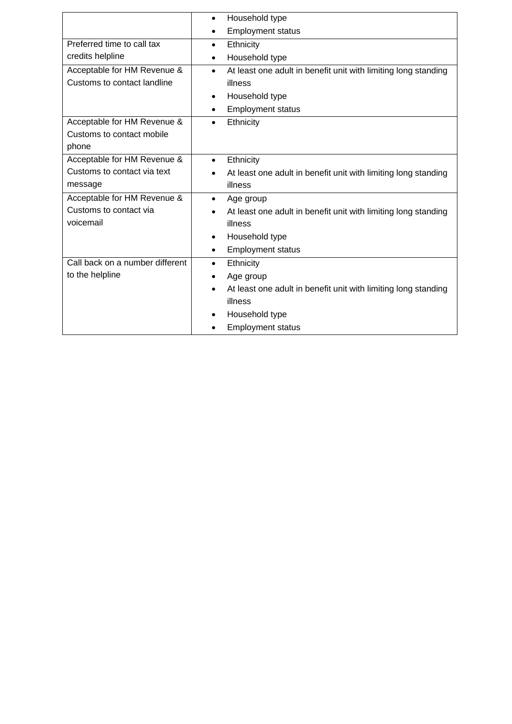|                                 | Household type<br>$\bullet$                                                 |
|---------------------------------|-----------------------------------------------------------------------------|
|                                 | <b>Employment status</b><br>$\bullet$                                       |
| Preferred time to call tax      | Ethnicity<br>$\bullet$                                                      |
| credits helpline                | Household type<br>٠                                                         |
| Acceptable for HM Revenue &     | At least one adult in benefit unit with limiting long standing<br>$\bullet$ |
| Customs to contact landline     | illness                                                                     |
|                                 | Household type<br>$\bullet$                                                 |
|                                 | <b>Employment status</b><br>٠                                               |
| Acceptable for HM Revenue &     | Ethnicity<br>$\bullet$                                                      |
| Customs to contact mobile       |                                                                             |
| phone                           |                                                                             |
| Acceptable for HM Revenue &     | Ethnicity<br>$\bullet$                                                      |
| Customs to contact via text     | At least one adult in benefit unit with limiting long standing              |
| message                         | illness                                                                     |
| Acceptable for HM Revenue &     | Age group<br>$\bullet$                                                      |
| Customs to contact via          | At least one adult in benefit unit with limiting long standing<br>$\bullet$ |
| voicemail                       | illness                                                                     |
|                                 | Household type<br>$\bullet$                                                 |
|                                 | <b>Employment status</b><br>٠                                               |
| Call back on a number different | Ethnicity<br>$\bullet$                                                      |
| to the helpline                 | Age group<br>$\bullet$                                                      |
|                                 | At least one adult in benefit unit with limiting long standing<br>$\bullet$ |
|                                 | illness                                                                     |
|                                 | Household type<br>$\bullet$                                                 |
|                                 | <b>Employment status</b>                                                    |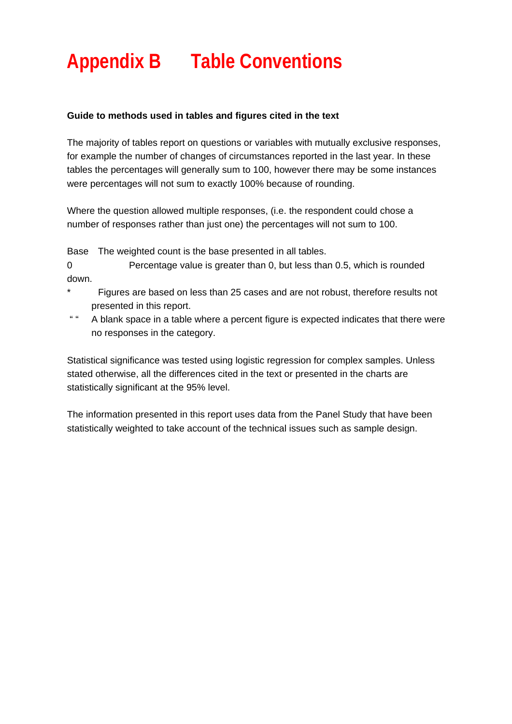# <span id="page-27-0"></span>**Appendix B Table Conventions**

#### **Guide to methods used in tables and figures cited in the text**

The majority of tables report on questions or variables with mutually exclusive responses, for example the number of changes of circumstances reported in the last year. In these tables the percentages will generally sum to 100, however there may be some instances were percentages will not sum to exactly 100% because of rounding.

Where the question allowed multiple responses, (i.e. the respondent could chose a number of responses rather than just one) the percentages will not sum to 100.

Base The weighted count is the base presented in all tables.

0 Percentage value is greater than 0, but less than 0.5, which is rounded down.

- Figures are based on less than 25 cases and are not robust, therefore results not presented in this report.
- " " A blank space in a table where a percent figure is expected indicates that there were no responses in the category.

Statistical significance was tested using logistic regression for complex samples. Unless stated otherwise, all the differences cited in the text or presented in the charts are statistically significant at the 95% level.

The information presented in this report uses data from the Panel Study that have been statistically weighted to take account of the technical issues such as sample design.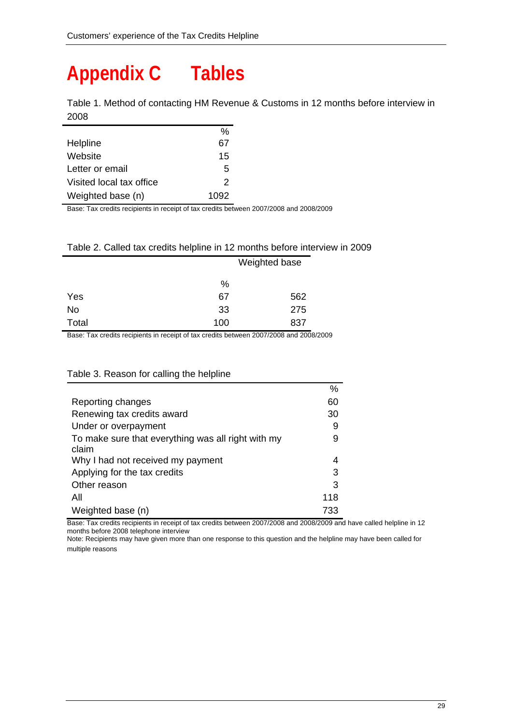# <span id="page-28-0"></span>**Appendix C Tables**

| Table 1. Method of contacting HM Revenue & Customs in 12 months before interview in |  |  |
|-------------------------------------------------------------------------------------|--|--|
| 2008                                                                                |  |  |

|                          | %    |
|--------------------------|------|
| Helpline                 | 67   |
| Website                  | 15   |
| Letter or email          | 5    |
| Visited local tax office | 2    |
| Weighted base (n)        | 1092 |

Base: Tax credits recipients in receipt of tax credits between 2007/2008 and 2008/2009

#### Table 2. Called tax credits helpline in 12 months before interview in 2009

|       |     | Weighted base |  |  |
|-------|-----|---------------|--|--|
|       | %   |               |  |  |
| Yes   | 67  | 562           |  |  |
| No    | 33  | 275           |  |  |
| Total | 100 | 837           |  |  |

Base: Tax credits recipients in receipt of tax credits between 2007/2008 and 2008/2009

#### Table 3. Reason for calling the helpline

|                                                             | %   |
|-------------------------------------------------------------|-----|
| Reporting changes                                           | 60  |
| Renewing tax credits award                                  | 30  |
| Under or overpayment                                        | 9   |
| To make sure that everything was all right with my<br>claim | 9   |
| Why I had not received my payment                           | 4   |
| Applying for the tax credits                                | 3   |
| Other reason                                                | 3   |
| All                                                         | 118 |
| Weighted base (n)                                           | 733 |

Base: Tax credits recipients in receipt of tax credits between 2007/2008 and 2008/2009 and have called helpline in 12 months before 2008 telephone interview

Note: Recipients may have given more than one response to this question and the helpline may have been called for multiple reasons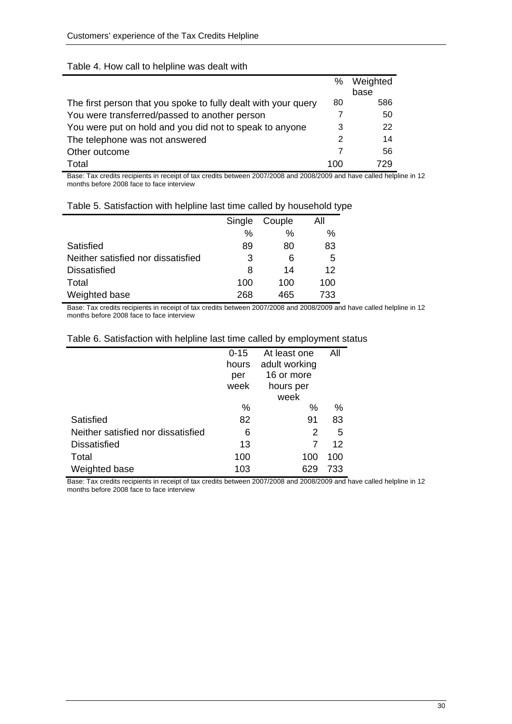#### Table 4. How call to helpline was dealt with

|                                                                | %   | Weighted |
|----------------------------------------------------------------|-----|----------|
|                                                                |     | base     |
| The first person that you spoke to fully dealt with your query | 80  | 586      |
| You were transferred/passed to another person                  | 7   | 50       |
| You were put on hold and you did not to speak to anyone        | 3   | 22       |
| The telephone was not answered                                 | 2   | 14       |
| Other outcome                                                  |     | 56       |
| Total                                                          | 100 | 729      |

Base: Tax credits recipients in receipt of tax credits between 2007/2008 and 2008/2009 and have called helpline in 12 months before 2008 face to face interview

|                                    |               |        | . . |
|------------------------------------|---------------|--------|-----|
|                                    | Single        | Couple | Αll |
|                                    | $\frac{0}{0}$ | $\%$   | %   |
| Satisfied                          | 89            | 80     | 83  |
| Neither satisfied nor dissatisfied | 3             | 6      | 5   |
| <b>Dissatisfied</b>                | 8             | 14     | 12  |
| Total                              | 100           | 100    | 100 |
| Weighted base                      | 268           | 465    | 733 |

#### Table 5. Satisfaction with helpline last time called by household type

Base: Tax credits recipients in receipt of tax credits between 2007/2008 and 2008/2009 and have called helpline in 12 months before 2008 face to face interview

|                                    | $0 - 15$ | At least one  | All |
|------------------------------------|----------|---------------|-----|
|                                    | hours    | adult working |     |
|                                    | per      | 16 or more    |     |
|                                    | week     | hours per     |     |
|                                    |          | week          |     |
|                                    | %        | %             | %   |
| Satisfied                          | 82       | 91            | 83  |
| Neither satisfied nor dissatisfied | 6        | 2             | 5   |
| <b>Dissatisfied</b>                | 13       |               | 12  |
| Total                              | 100      | 100           | 100 |
| Weighted base                      | 103      |               | 733 |

#### Table 6. Satisfaction with helpline last time called by employment status

Base: Tax credits recipients in receipt of tax credits between 2007/2008 and 2008/2009 and have called helpline in 12 months before 2008 face to face interview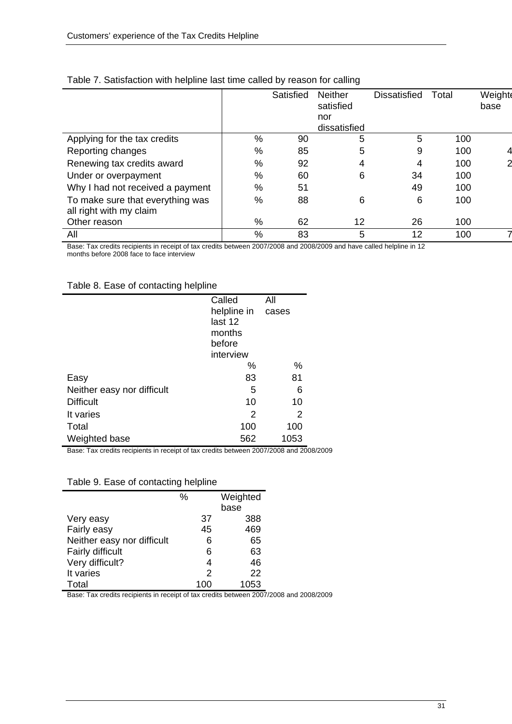|                                                             |               | Satisfied | <b>Neither</b><br>satisfied<br>nor | <b>Dissatisfied</b> | Total | Weighte<br>base |
|-------------------------------------------------------------|---------------|-----------|------------------------------------|---------------------|-------|-----------------|
|                                                             |               |           | dissatisfied                       |                     |       |                 |
| Applying for the tax credits                                | %             | 90        | 5                                  | 5                   | 100   |                 |
| Reporting changes                                           | $\frac{0}{0}$ | 85        | 5                                  | 9                   | 100   |                 |
| Renewing tax credits award                                  | $\%$          | 92        | 4                                  | 4                   | 100   |                 |
| Under or overpayment                                        | $\%$          | 60        | 6                                  | 34                  | 100   |                 |
| Why I had not received a payment                            | $\%$          | 51        |                                    | 49                  | 100   |                 |
| To make sure that everything was<br>all right with my claim | $\%$          | 88        | 6                                  | 6                   | 100   |                 |
| Other reason                                                | %             | 62        | 12                                 | 26                  | 100   |                 |
| All                                                         | $\frac{0}{0}$ | 83        | 5                                  | 12                  | 100   |                 |

#### Table 7. Satisfaction with helpline last time called by reason for calling

Base: Tax credits recipients in receipt of tax credits between 2007/2008 and 2008/2009 and have called helpline in 12 months before 2008 face to face interview

#### Table 8. Ease of contacting helpline

|                            | Called      | All   |
|----------------------------|-------------|-------|
|                            | helpline in | cases |
|                            | last 12     |       |
|                            | months      |       |
|                            | before      |       |
|                            | interview   |       |
|                            | %           | %     |
| Easy                       | 83          | 81    |
| Neither easy nor difficult | 5           | 6     |
| <b>Difficult</b>           | 10          | 10    |
| It varies                  | 2           | 2     |
| Total                      | 100         | 100   |
| Weighted base              | 562         | 1053  |

Base: Tax credits recipients in receipt of tax credits between 2007/2008 and 2008/2009

#### Table 9. Ease of contacting helpline

|                            | % |               | Weighted |
|----------------------------|---|---------------|----------|
|                            |   |               | base     |
| Very easy                  |   | 37            | 388      |
| Fairly easy                |   | 45            | 469      |
| Neither easy nor difficult |   | 6             | 65       |
| Fairly difficult           |   | 6             | 63       |
| Very difficult?            |   | 4             | 46       |
| It varies                  |   | $\mathcal{P}$ | 22       |
| Total                      |   | 100           | 1053     |

Base: Tax credits recipients in receipt of tax credits between 2007/2008 and 2008/2009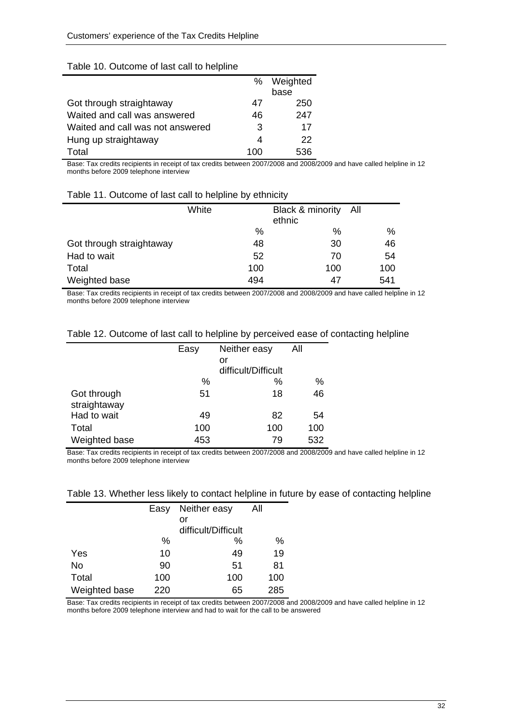|                                  | %   | Weighted |
|----------------------------------|-----|----------|
|                                  |     | base     |
| Got through straightaway         | 47  | 250      |
| Waited and call was answered     | 46  | 247      |
| Waited and call was not answered | 3   | 17       |
| Hung up straightaway             | 4   | 22       |
| Total                            | 100 | 536      |

#### Table 10. Outcome of last call to helpline

Base: Tax credits recipients in receipt of tax credits between 2007/2008 and 2008/2009 and have called helpline in 12 months before 2009 telephone interview

#### Table 11. Outcome of last call to helpline by ethnicity

|                          | White | Black & minority All<br>ethnic |     |
|--------------------------|-------|--------------------------------|-----|
|                          | %     | $\%$                           | %   |
| Got through straightaway | 48    | 30                             | 46  |
| Had to wait              | 52    | 70                             | 54  |
| Total                    | 100   | 100                            | 100 |
| Weighted base            | 494   | 47                             | 541 |

Base: Tax credits recipients in receipt of tax credits between 2007/2008 and 2008/2009 and have called helpline in 12 months before 2009 telephone interview

| Table 12. Outcome of last call to helpline by perceived ease of contacting helpline |  |
|-------------------------------------------------------------------------------------|--|
|-------------------------------------------------------------------------------------|--|

|               | Easy | Neither easy        | All |
|---------------|------|---------------------|-----|
|               |      | or                  |     |
|               |      | difficult/Difficult |     |
|               | $\%$ | %                   | %   |
| Got through   | 51   | 18                  | 46  |
| straightaway  |      |                     |     |
| Had to wait   | 49   | 82                  | 54  |
| Total         | 100  | 100                 | 100 |
| Weighted base | 453  | 79                  | 532 |

Base: Tax credits recipients in receipt of tax credits between 2007/2008 and 2008/2009 and have called helpline in 12 months before 2009 telephone interview

|  |  |  |  |  | Table 13. Whether less likely to contact helpline in future by ease of contacting helpline |
|--|--|--|--|--|--------------------------------------------------------------------------------------------|
|--|--|--|--|--|--------------------------------------------------------------------------------------------|

|               | Easy | Neither easy        | All |
|---------------|------|---------------------|-----|
|               |      | or                  |     |
|               |      | difficult/Difficult |     |
|               | %    | ℅                   | %   |
| Yes           | 10   | 49                  | 19  |
| No            | 90   | 51                  | 81  |
| Total         | 100  | 100                 | 100 |
| Weighted base | 220  | 65                  | 285 |
|               |      |                     |     |

Base: Tax credits recipients in receipt of tax credits between 2007/2008 and 2008/2009 and have called helpline in 12 months before 2009 telephone interview and had to wait for the call to be answered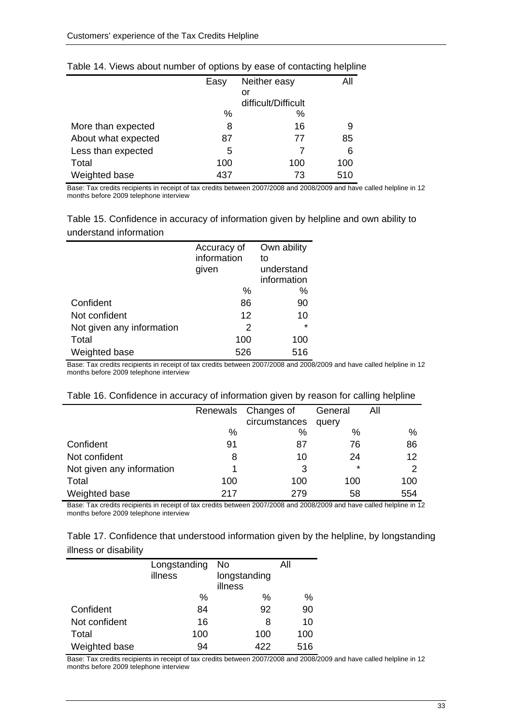|                     | Easy | Neither easy        | All |
|---------------------|------|---------------------|-----|
|                     |      | or                  |     |
|                     |      | difficult/Difficult |     |
|                     | $\%$ | %                   |     |
| More than expected  | 8    | 16                  | 9   |
| About what expected | 87   | 77                  | 85  |
| Less than expected  | 5    | 7                   | 6   |
| Total               | 100  | 100                 | 100 |
| Weighted base       | 437  | 73                  | 510 |

#### Table 14. Views about number of options by ease of contacting helpline

Base: Tax credits recipients in receipt of tax credits between 2007/2008 and 2008/2009 and have called helpline in 12 months before 2009 telephone interview

| Table 15. Confidence in accuracy of information given by helpline and own ability to |  |
|--------------------------------------------------------------------------------------|--|
| understand information                                                               |  |

|                           | Accuracy of | Own ability |
|---------------------------|-------------|-------------|
|                           | information | to          |
|                           | given       | understand  |
|                           |             | information |
|                           | $\%$        | %           |
| Confident                 | 86          | 90          |
| Not confident             | 12          | 10          |
| Not given any information | 2           | $\star$     |
| Total                     | 100         | 100         |
| Weighted base             | 526         | 516         |

Base: Tax credits recipients in receipt of tax credits between 2007/2008 and 2008/2009 and have called helpline in 12 months before 2009 telephone interview

| Table 16. Confidence in accuracy of information given by reason for calling helpline |                             |  |  |
|--------------------------------------------------------------------------------------|-----------------------------|--|--|
|                                                                                      | Renewale Changer of Ceneral |  |  |

|                           |      | Renewals Changes of | General | All  |
|---------------------------|------|---------------------|---------|------|
|                           |      | circumstances       | query   |      |
|                           | $\%$ | %                   | %       | $\%$ |
| Confident                 | 91   | 87                  | 76      | 86   |
| Not confident             |      | 10                  | 24      | 12   |
| Not given any information |      | 3                   | $\star$ | 2    |
| Total                     | 100  | 100                 | 100     | 100  |
| Weighted base             | 217  | 279                 | 58      | 554  |

Base: Tax credits recipients in receipt of tax credits between 2007/2008 and 2008/2009 and have called helpline in 12 months before 2009 telephone interview

| Table 17. Confidence that understood information given by the helpline, by longstanding |  |
|-----------------------------------------------------------------------------------------|--|
| illness or disability                                                                   |  |

|               | Longstanding<br>illness | No<br>longstanding | All |
|---------------|-------------------------|--------------------|-----|
|               |                         | illness            |     |
|               | $\%$                    | %                  | %   |
| Confident     | 84                      | 92                 | 90  |
| Not confident | 16                      | 8                  | 10  |
| Total         | 100                     | 100                | 100 |
| Weighted base | 94                      | 422                | 516 |

Base: Tax credits recipients in receipt of tax credits between 2007/2008 and 2008/2009 and have called helpline in 12 months before 2009 telephone interview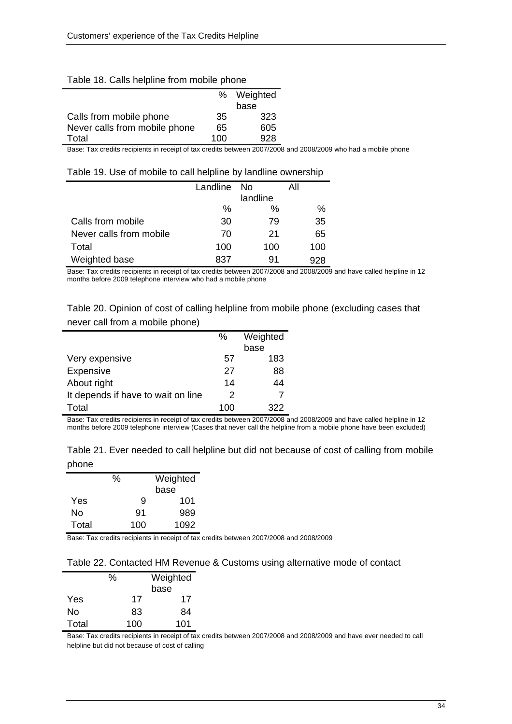|                               |     | % Weighted |
|-------------------------------|-----|------------|
|                               |     | base       |
| Calls from mobile phone       | 35  | 323        |
| Never calls from mobile phone | 65  | 605        |
| Total                         | 100 | 928        |
|                               |     |            |

#### Table 18. Calls helpline from mobile phone

Base: Tax credits recipients in receipt of tax credits between 2007/2008 and 2008/2009 who had a mobile phone

| Table 19. Use of mobile to call helpline by landline ownership |
|----------------------------------------------------------------|
|----------------------------------------------------------------|

|                         | Landline | -No      | All |
|-------------------------|----------|----------|-----|
|                         |          | landline |     |
|                         | $\%$     | ℅        | %   |
| Calls from mobile       | 30       | 79       | 35  |
| Never calls from mobile | 70       | 21       | 65  |
| Total                   | 100      | 100      | 100 |
| Weighted base           | 837      | 91       |     |

Base: Tax credits recipients in receipt of tax credits between 2007/2008 and 2008/2009 and have called helpline in 12 months before 2009 telephone interview who had a mobile phone

Table 20. Opinion of cost of calling helpline from mobile phone (excluding cases that never call from a mobile phone)

|                                    | $\%$ | Weighted |  |
|------------------------------------|------|----------|--|
|                                    |      | base     |  |
| Very expensive                     | 57   | 183      |  |
| Expensive                          | 27   | 88       |  |
| About right                        | 14   | 44       |  |
| It depends if have to wait on line | 2    |          |  |
| Total                              | 100  | 322      |  |

Base: Tax credits recipients in receipt of tax credits between 2007/2008 and 2008/2009 and have called helpline in 12 months before 2009 telephone interview (Cases that never call the helpline from a mobile phone have been excluded)

|       | Table 21. Ever needed to call helpline but did not because of cost of calling from mobile |  |  |  |
|-------|-------------------------------------------------------------------------------------------|--|--|--|
| phone |                                                                                           |  |  |  |

|       | % |     | Weighted |
|-------|---|-----|----------|
|       |   |     | base     |
| Yes   |   | 9   | 101      |
| No    |   | 91  | 989      |
| Total |   | 100 | 1092     |

Base: Tax credits recipients in receipt of tax credits between 2007/2008 and 2008/2009

#### Table 22. Contacted HM Revenue & Customs using alternative mode of contact

|       | ℅ |     | Weighted |  |
|-------|---|-----|----------|--|
|       |   |     | base     |  |
| Yes   |   | 17  | 17       |  |
| No    |   | 83  | 84       |  |
| Total |   | 100 | 101      |  |

Base: Tax credits recipients in receipt of tax credits between 2007/2008 and 2008/2009 and have ever needed to call helpline but did not because of cost of calling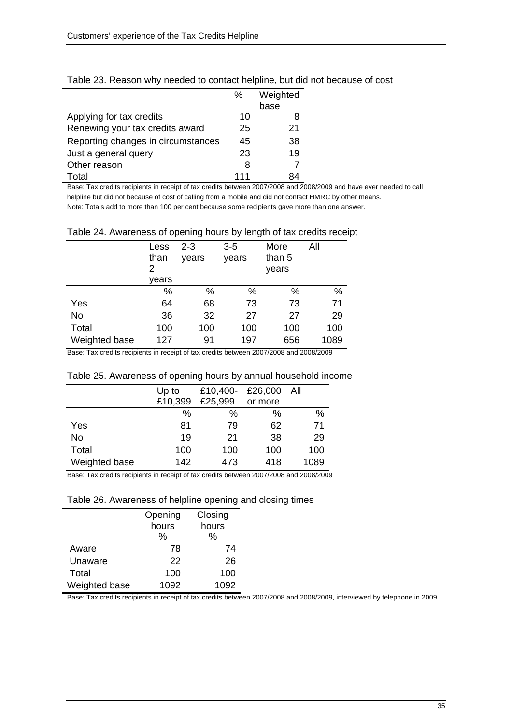|                                    | ℅   | Weighted |
|------------------------------------|-----|----------|
|                                    |     | base     |
| Applying for tax credits           | 10  | 8        |
| Renewing your tax credits award    | 25  | 21       |
| Reporting changes in circumstances | 45  | 38       |
| Just a general query               | 23  | 19       |
| Other reason                       | 8   |          |
| Total                              | 111 | 84       |

Table 23. Reason why needed to contact helpline, but did not because of cost

Base: Tax credits recipients in receipt of tax credits between 2007/2008 and 2008/2009 and have ever needed to call helpline but did not because of cost of calling from a mobile and did not contact HMRC by other means. Note: Totals add to more than 100 per cent because some recipients gave more than one answer.

| Table 24. Awareness of opening hours by length of tax credits receipt |  |  |  |
|-----------------------------------------------------------------------|--|--|--|
|                                                                       |  |  |  |

|               | Less<br>than<br>2<br>vears | 2-3<br>years | 3-5<br>years | More<br>than 5<br>years | All  |
|---------------|----------------------------|--------------|--------------|-------------------------|------|
|               | $\%$                       | %            | %            | %                       | %    |
| Yes           | 64                         | 68           | 73           | 73                      | 71   |
| No            | 36                         | 32           | 27           | 27                      | 29   |
| Total         | 100                        | 100          | 100          | 100                     | 100  |
| Weighted base | 127                        | 91           | 197          | 656                     | 1089 |

Base: Tax credits recipients in receipt of tax credits between 2007/2008 and 2008/2009

| Table 25. Awareness of opening hours by annual household income |  |  |  |  |  |  |  |
|-----------------------------------------------------------------|--|--|--|--|--|--|--|
|-----------------------------------------------------------------|--|--|--|--|--|--|--|

|               | Up to   | £10,400- | £26,000 | – All |
|---------------|---------|----------|---------|-------|
|               | £10,399 | £25,999  | or more |       |
|               | %       | %        | $\%$    | %     |
| Yes           | 81      | 79       | 62      | 71    |
| No            | 19      | 21       | 38      | 29    |
| Total         | 100     | 100      | 100     | 100   |
| Weighted base | 142     | 473      | 418     | 1089  |

Base: Tax credits recipients in receipt of tax credits between 2007/2008 and 2008/2009

#### Table 26. Awareness of helpline opening and closing times

|               | Opening | Closing |
|---------------|---------|---------|
|               | hours   | hours   |
|               | %       | %       |
| Aware         | 78      | 74      |
| Unaware       | 22      | 26      |
| Total         | 100     | 100     |
| Weighted base | 1092    | 1092    |

Base: Tax credits recipients in receipt of tax credits between 2007/2008 and 2008/2009, interviewed by telephone in 2009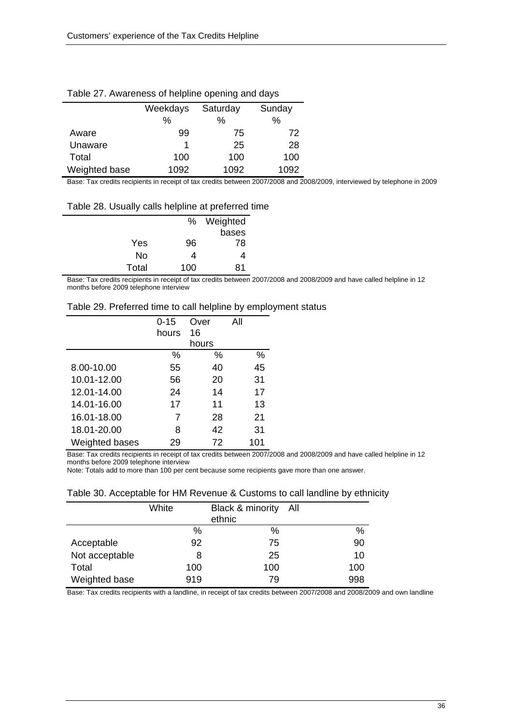| rapid 21. Awardriddo or ndiplind opdring and dayo |                      |      |        |  |  |
|---------------------------------------------------|----------------------|------|--------|--|--|
|                                                   | Weekdays<br>Saturday |      | Sunday |  |  |
|                                                   | $\%$                 | ℅    | %      |  |  |
| Aware                                             | 99                   | 75   | 72     |  |  |
| Unaware                                           |                      | 25   | 28     |  |  |
| Total                                             | 100                  | 100  | 100    |  |  |
| Weighted base                                     | 1092                 | 1092 | 1092   |  |  |

#### Table 27. Awareness of helpline opening and days

Base: Tax credits recipients in receipt of tax credits between 2007/2008 and 2008/2009, interviewed by telephone in 2009

Table 28. Usually calls helpline at preferred time

|       |     | % Weighted |
|-------|-----|------------|
|       |     | bases      |
| Yes   | 96  | 78         |
| No    |     | 4          |
| Total | 100 | 81         |

Base: Tax credits recipients in receipt of tax credits between 2007/2008 and 2008/2009 and have called helpline in 12 months before 2009 telephone interview

|  |  | Table 29. Preferred time to call helpline by employment status |
|--|--|----------------------------------------------------------------|
|  |  |                                                                |

|                | $0 - 15$ | Over  | All |
|----------------|----------|-------|-----|
|                | hours    | 16    |     |
|                |          | hours |     |
|                | ℅        | %     | ℅   |
| 8.00-10.00     | 55       | 40    | 45  |
| 10.01-12.00    | 56       | 20    | 31  |
| 12.01-14.00    | 24       | 14    | 17  |
| 14.01-16.00    | 17       | 11    | 13  |
| 16.01-18.00    | 7        | 28    | 21  |
| 18.01-20.00    | 8        | 42    | 31  |
| Weighted bases | 29       | 72    | 101 |

Base: Tax credits recipients in receipt of tax credits between 2007/2008 and 2008/2009 and have called helpline in 12 months before 2009 telephone interview

Note: Totals add to more than 100 per cent because some recipients gave more than one answer.

| Table 30. Acceptable for HM Revenue & Customs to call landline by ethnicity |  |  |
|-----------------------------------------------------------------------------|--|--|
|-----------------------------------------------------------------------------|--|--|

|                | White | Black & minority All<br>ethnic |     |
|----------------|-------|--------------------------------|-----|
|                | %     | $\%$                           | %   |
| Acceptable     | 92    | 75                             | 90  |
| Not acceptable | 8     | 25                             | 10  |
| Total          | 100   | 100                            | 100 |
| Weighted base  | 919   | 79                             | 998 |

Base: Tax credits recipients with a landline, in receipt of tax credits between 2007/2008 and 2008/2009 and own landline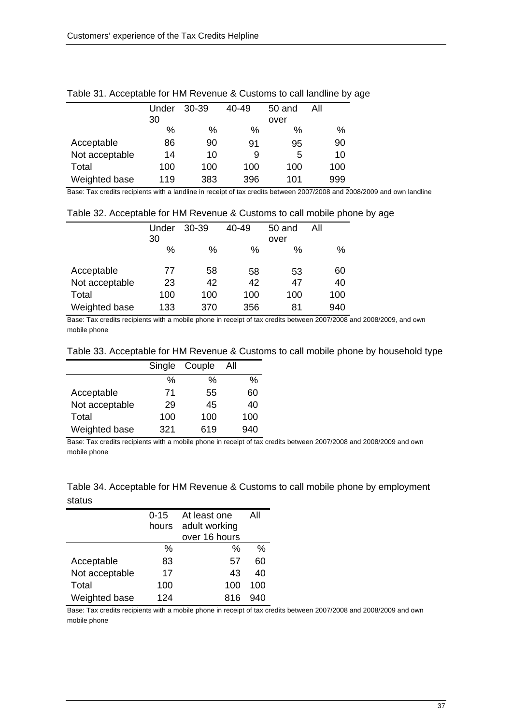|                | Under | 30-39 | $40 - 49$ | 50 and | All |
|----------------|-------|-------|-----------|--------|-----|
|                | 30    |       |           | over   |     |
|                | %     | %     | %         | $\%$   | %   |
| Acceptable     | 86    | 90    | 91        | 95     | 90  |
| Not acceptable | 14    | 10    | 9         | 5      | 10  |
| Total          | 100   | 100   | 100       | 100    | 100 |
| Weighted base  | 119   | 383   | 396       | 101    | 999 |

#### Table 31. Acceptable for HM Revenue & Customs to call landline by age

Base: Tax credits recipients with a landline in receipt of tax credits between 2007/2008 and 2008/2009 and own landline

#### Table 32. Acceptable for HM Revenue & Customs to call mobile phone by age

|                | Under | 30-39 | 40-49 | 50 and | All |
|----------------|-------|-------|-------|--------|-----|
|                | 30    |       |       | over   |     |
|                | $\%$  | %     | %     | %      | %   |
|                |       |       |       |        |     |
| Acceptable     | 77    | 58    | 58    | 53     | 60  |
| Not acceptable | 23    | 42    | 42    | 47     | 40  |
| Total          | 100   | 100   | 100   | 100    | 100 |
| Weighted base  | 133   | 370   | 356   | 81     | 940 |

Base: Tax credits recipients with a mobile phone in receipt of tax credits between 2007/2008 and 2008/2009, and own mobile phone

| Table 33. Acceptable for HM Revenue & Customs to call mobile phone by household type |  |  |
|--------------------------------------------------------------------------------------|--|--|
|--------------------------------------------------------------------------------------|--|--|

|                | Single | Couple | All |
|----------------|--------|--------|-----|
|                | %      | %      | %   |
| Acceptable     | 71     | 55     | 60  |
| Not acceptable | 29     | 45     | 40  |
| Total          | 100    | 100    | 100 |
| Weighted base  | 321    | 619    | 940 |

Base: Tax credits recipients with a mobile phone in receipt of tax credits between 2007/2008 and 2008/2009 and own mobile phone

#### Table 34. Acceptable for HM Revenue & Customs to call mobile phone by employment status

|                | 0-15<br>hours | At least one<br>adult working<br>over 16 hours | All |
|----------------|---------------|------------------------------------------------|-----|
|                | $\%$          | %                                              | %   |
| Acceptable     | 83            | 57                                             | 60  |
| Not acceptable | 17            | 43                                             | 40  |
| Total          | 100           | 100                                            | 100 |
| Weighted base  | 124           | 816                                            | 940 |

Base: Tax credits recipients with a mobile phone in receipt of tax credits between 2007/2008 and 2008/2009 and own mobile phone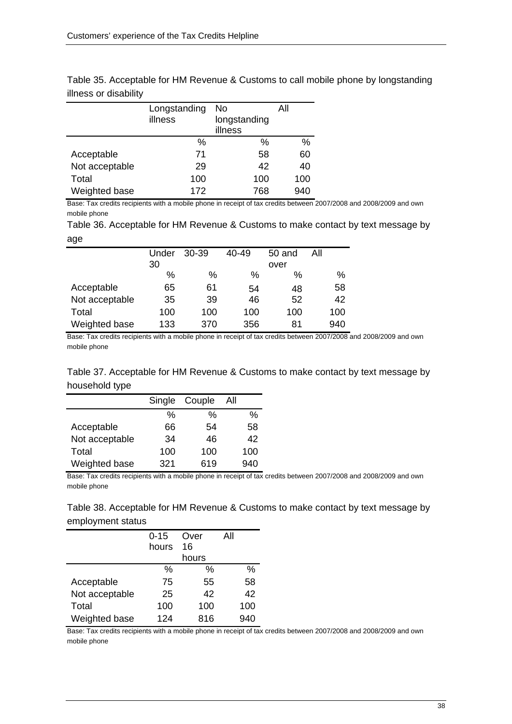|                | Longstanding<br>illness | No<br>longstanding | All |
|----------------|-------------------------|--------------------|-----|
|                |                         | illness            |     |
|                | $\%$                    | %                  | %   |
| Acceptable     | 71                      | 58                 | 60  |
| Not acceptable | 29                      | 42                 | 40  |
| Total          | 100                     | 100                | 100 |
| Weighted base  | 172                     | 768                | 940 |

Table 35. Acceptable for HM Revenue & Customs to call mobile phone by longstanding illness or disability

Base: Tax credits recipients with a mobile phone in receipt of tax credits between 2007/2008 and 2008/2009 and own mobile phone

Table 36. Acceptable for HM Revenue & Customs to make contact by text message by age

|                | Under | 30-39 | 40-49 | 50 and | All |
|----------------|-------|-------|-------|--------|-----|
|                | 30    |       |       | over   |     |
|                | $\%$  | %     | $\%$  | %      | %   |
| Acceptable     | 65    | 61    | 54    | 48     | 58  |
| Not acceptable | 35    | 39    | 46    | 52     | 42  |
| Total          | 100   | 100   | 100   | 100    | 100 |
| Weighted base  | 133   | 370   | 356   | 81     | 940 |

Base: Tax credits recipients with a mobile phone in receipt of tax credits between 2007/2008 and 2008/2009 and own mobile phone

#### Table 37. Acceptable for HM Revenue & Customs to make contact by text message by household type

|                | Single | Couple | All |
|----------------|--------|--------|-----|
|                | %      | %      | %   |
| Acceptable     | 66     | 54     | 58  |
| Not acceptable | 34     | 46     | 42  |
| Total          | 100    | 100    | 100 |
| Weighted base  | 321    | 619    | 940 |

Base: Tax credits recipients with a mobile phone in receipt of tax credits between 2007/2008 and 2008/2009 and own mobile phone

Table 38. Acceptable for HM Revenue & Customs to make contact by text message by employment status

|                | $0 - 15$ | Over  | All |
|----------------|----------|-------|-----|
|                | hours    | 16    |     |
|                |          | hours |     |
|                | ℅        | %     | %   |
| Acceptable     | 75       | 55    | 58  |
| Not acceptable | 25       | 42    | 42  |
| Total          | 100      | 100   | 100 |
| Weighted base  | 124      | 816   | 940 |

Base: Tax credits recipients with a mobile phone in receipt of tax credits between 2007/2008 and 2008/2009 and own mobile phone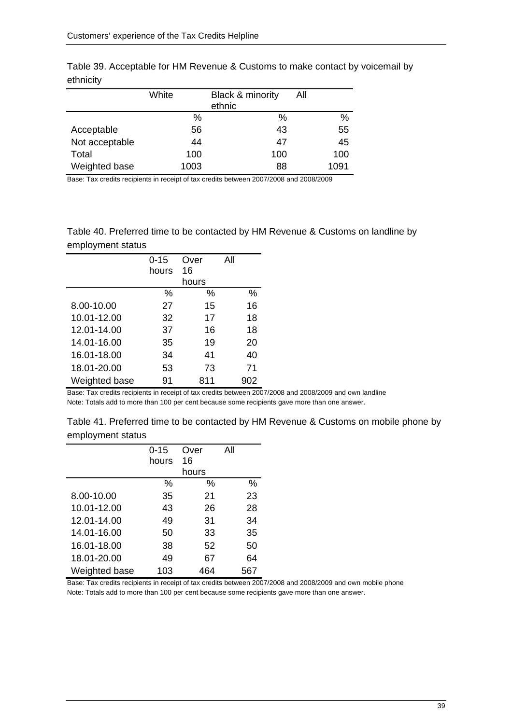|                | White | Black & minority<br>ethnic | All  |
|----------------|-------|----------------------------|------|
|                | %     | %                          | %    |
| Acceptable     | 56    | 43                         | 55   |
| Not acceptable | 44    | 47                         | 45   |
| Total          | 100   | 100                        | 100  |
| Weighted base  | 1003  | 88                         | 1091 |

Table 39. Acceptable for HM Revenue & Customs to make contact by voicemail by ethnicity

Base: Tax credits recipients in receipt of tax credits between 2007/2008 and 2008/2009

Table 40. Preferred time to be contacted by HM Revenue & Customs on landline by employment status

|               | $0 - 15$ | Over  | All |
|---------------|----------|-------|-----|
|               | hours    | 16    |     |
|               |          | hours |     |
|               | ℅        | %     | %   |
| 8.00-10.00    | 27       | 15    | 16  |
| 10.01-12.00   | 32       | 17    | 18  |
| 12.01-14.00   | 37       | 16    | 18  |
| 14.01-16.00   | 35       | 19    | 20  |
| 16.01-18.00   | 34       | 41    | 40  |
| 18.01-20.00   | 53       | 73    | 71  |
| Weighted base | 91       | 811   | 902 |

Base: Tax credits recipients in receipt of tax credits between 2007/2008 and 2008/2009 and own landline Note: Totals add to more than 100 per cent because some recipients gave more than one answer.

| Table 41. Preferred time to be contacted by HM Revenue & Customs on mobile phone by |  |
|-------------------------------------------------------------------------------------|--|
| employment status                                                                   |  |

|               | $0 - 15$ | Over  | All |
|---------------|----------|-------|-----|
|               | hours    | 16    |     |
|               |          | hours |     |
|               | ℅        | ℅     | ℅   |
| 8.00-10.00    | 35       | 21    | 23  |
| 10.01-12.00   | 43       | 26    | 28  |
| 12.01-14.00   | 49       | 31    | 34  |
| 14.01-16.00   | 50       | 33    | 35  |
| 16.01-18.00   | 38       | 52    | 50  |
| 18.01-20.00   | 49       | 67    | 64  |
| Weighted base | 103      | 464   | 567 |

Base: Tax credits recipients in receipt of tax credits between 2007/2008 and 2008/2009 and own mobile phone Note: Totals add to more than 100 per cent because some recipients gave more than one answer.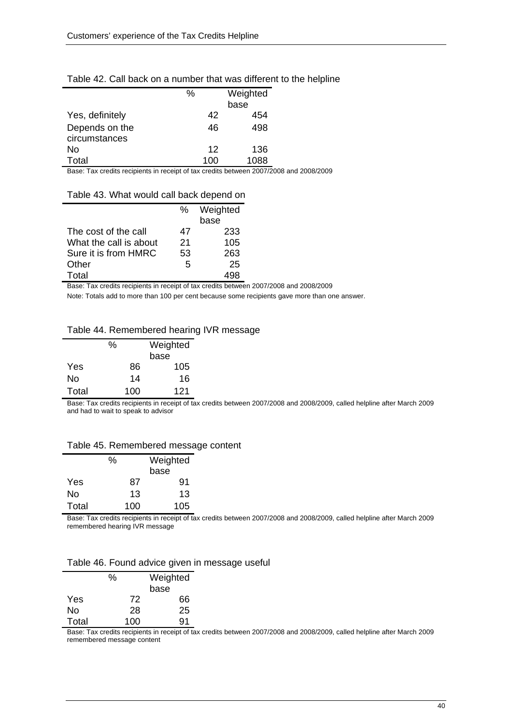#### Table 42. Call back on a number that was different to the helpline

|                                 | %   | Weighted<br>base |
|---------------------------------|-----|------------------|
| Yes, definitely                 | 42  | 454              |
| Depends on the<br>circumstances | 46  | 498              |
| No                              | 12  | 136              |
| Total                           | 100 | 1088             |

Base: Tax credits recipients in receipt of tax credits between 2007/2008 and 2008/2009

#### Table 43. What would call back depend on

|                        | ℅  | Weighted |
|------------------------|----|----------|
|                        |    | base     |
| The cost of the call   | 47 | 233      |
| What the call is about | 21 | 105      |
| Sure it is from HMRC   | 53 | 263      |
| Other                  | 5  | 25       |
| Total                  |    |          |

Base: Tax credits recipients in receipt of tax credits between 2007/2008 and 2008/2009

Note: Totals add to more than 100 per cent because some recipients gave more than one answer.

#### Table 44. Remembered hearing IVR message

|       | $\%$ |    | Weighted |
|-------|------|----|----------|
|       |      |    | base     |
| Yes   |      | 86 | 105      |
| No    |      | 14 | 16       |
| Total | 100  |    | 121      |

Base: Tax credits recipients in receipt of tax credits between 2007/2008 and 2008/2009, called helpline after March 2009 and had to wait to speak to advisor

#### Table 45. Remembered message content

|       | %   |    | Weighted |
|-------|-----|----|----------|
|       |     |    | base     |
| Yes   |     | 87 | 91       |
| No    |     | 13 | 13       |
| Total | 100 |    | 105      |

Base: Tax credits recipients in receipt of tax credits between 2007/2008 and 2008/2009, called helpline after March 2009 remembered hearing IVR message

#### Table 46. Found advice given in message useful

|       | ℅   | Weighted |
|-------|-----|----------|
|       |     | base     |
| Yes   | 72  | 66       |
| No    | 28  | 25       |
| Total | 100 | 91       |

Base: Tax credits recipients in receipt of tax credits between 2007/2008 and 2008/2009, called helpline after March 2009 remembered message content